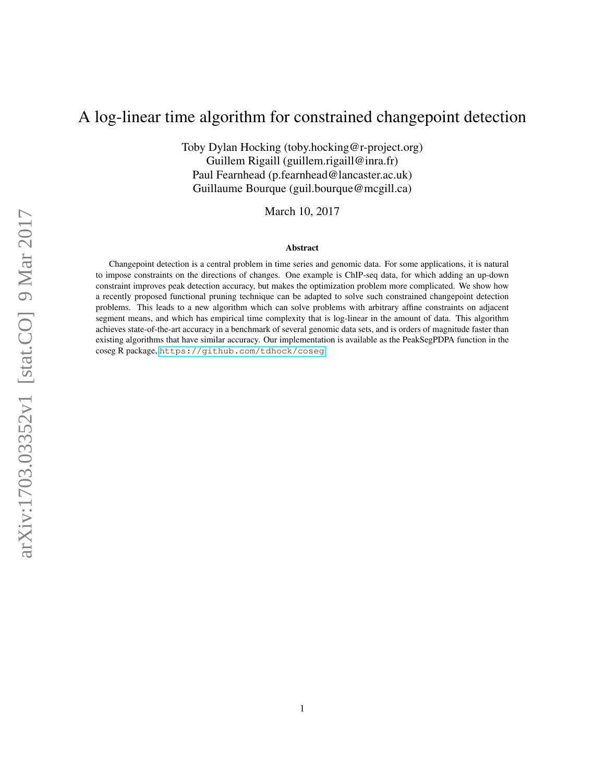# A log-linear time algorithm for constrained changepoint detection

Toby Dylan Hocking (toby.hocking@r-project.org) Guillem Rigaill (guillem.rigaill@inra.fr) Paul Fearnhead (p.fearnhead@lancaster.ac.uk) Guillaume Bourque (guil.bourque@mcgill.ca)

March 10, 2017

#### Abstract

Changepoint detection is a central problem in time series and genomic data. For some applications, it is natural to impose constraints on the directions of changes. One example is ChIP-seq data, for which adding an up-down constraint improves peak detection accuracy, but makes the optimization problem more complicated. We show how a recently proposed functional pruning technique can be adapted to solve such constrained changepoint detection problems. This leads to a new algorithm which can solve problems with arbitrary affine constraints on adjacent segment means, and which has empirical time complexity that is log-linear in the amount of data. This algorithm achieves state-of-the-art accuracy in a benchmark of several genomic data sets, and is orders of magnitude faster than existing algorithms that have similar accuracy. Our implementation is available as the PeakSegPDPA function in the coseg R package, <https://github.com/tdhock/coseg>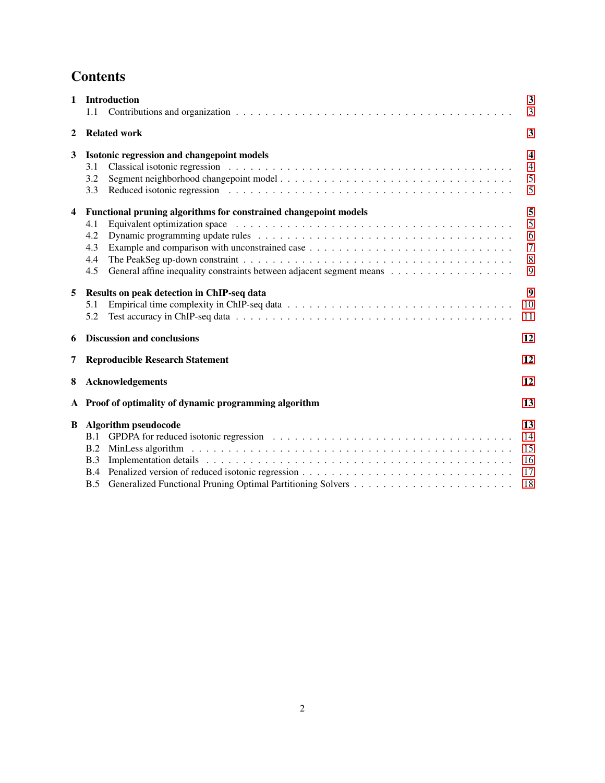# **Contents**

| 1            | <b>Introduction</b>                                                                                                                                                                                                                   |                |  |  |  |  |  |  |
|--------------|---------------------------------------------------------------------------------------------------------------------------------------------------------------------------------------------------------------------------------------|----------------|--|--|--|--|--|--|
|              | 1.1                                                                                                                                                                                                                                   | 3              |  |  |  |  |  |  |
| $\mathbf{2}$ | <b>Related work</b>                                                                                                                                                                                                                   | 3              |  |  |  |  |  |  |
| 3            | <b>Isotonic regression and changepoint models</b>                                                                                                                                                                                     |                |  |  |  |  |  |  |
|              | 3.1                                                                                                                                                                                                                                   | $\overline{4}$ |  |  |  |  |  |  |
|              | 3.2                                                                                                                                                                                                                                   | 5              |  |  |  |  |  |  |
|              | Reduced isotonic regression entertainment of the state of the state of the state of the state of the state of the state of the state of the state of the state of the state of the state of the state of the state of the stat<br>3.3 | 5              |  |  |  |  |  |  |
| 4            | Functional pruning algorithms for constrained changepoint models                                                                                                                                                                      | 5              |  |  |  |  |  |  |
|              | 4.1                                                                                                                                                                                                                                   | 5              |  |  |  |  |  |  |
|              | 4.2                                                                                                                                                                                                                                   | 6              |  |  |  |  |  |  |
|              | 4.3                                                                                                                                                                                                                                   | $\tau$         |  |  |  |  |  |  |
|              | 4.4                                                                                                                                                                                                                                   | $8\,$          |  |  |  |  |  |  |
|              | 4.5                                                                                                                                                                                                                                   | 9              |  |  |  |  |  |  |
| 5            | Results on peak detection in ChIP-seq data                                                                                                                                                                                            |                |  |  |  |  |  |  |
|              | 5.1                                                                                                                                                                                                                                   | 10             |  |  |  |  |  |  |
|              | 5.2                                                                                                                                                                                                                                   | 11             |  |  |  |  |  |  |
| 6            | <b>Discussion and conclusions</b><br>12                                                                                                                                                                                               |                |  |  |  |  |  |  |
| 7            | <b>Reproducible Research Statement</b>                                                                                                                                                                                                |                |  |  |  |  |  |  |
| 8            | Acknowledgements                                                                                                                                                                                                                      |                |  |  |  |  |  |  |
| A            | Proof of optimality of dynamic programming algorithm                                                                                                                                                                                  |                |  |  |  |  |  |  |
|              |                                                                                                                                                                                                                                       | 13<br>13       |  |  |  |  |  |  |
| B            | Algorithm pseudocode                                                                                                                                                                                                                  |                |  |  |  |  |  |  |
|              | B.1                                                                                                                                                                                                                                   | 14             |  |  |  |  |  |  |
|              | B.2                                                                                                                                                                                                                                   | 15             |  |  |  |  |  |  |
|              | B.3                                                                                                                                                                                                                                   | 16             |  |  |  |  |  |  |
|              | B.4                                                                                                                                                                                                                                   | 17             |  |  |  |  |  |  |
|              | B.5                                                                                                                                                                                                                                   | 18             |  |  |  |  |  |  |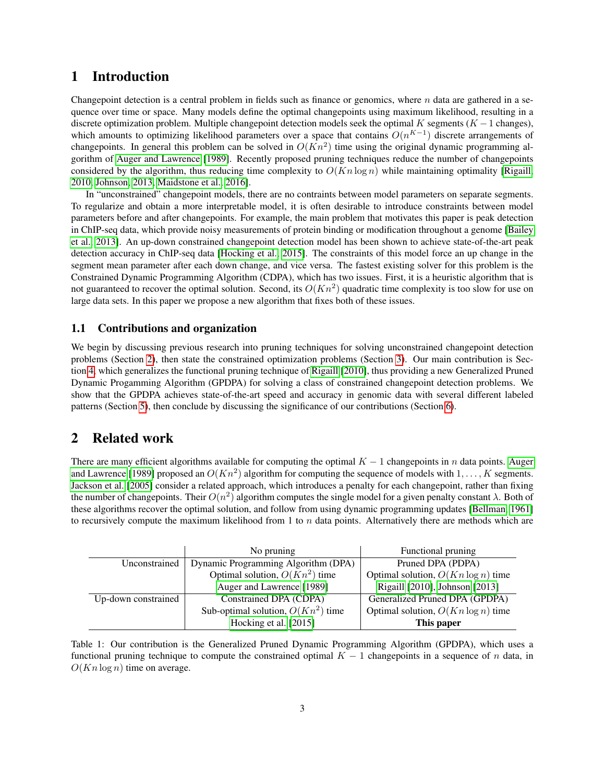# <span id="page-2-0"></span>1 Introduction

Changepoint detection is a central problem in fields such as finance or genomics, where  $n$  data are gathered in a sequence over time or space. Many models define the optimal changepoints using maximum likelihood, resulting in a discrete optimization problem. Multiple changepoint detection models seek the optimal K segments ( $K - 1$  changes), which amounts to optimizing likelihood parameters over a space that contains  $O(n^{K-1})$  discrete arrangements of changepoints. In general this problem can be solved in  $O(Kn^2)$  time using the original dynamic programming algorithm of [Auger and Lawrence](#page-20-0) [\[1989\]](#page-20-0). Recently proposed pruning techniques reduce the number of changepoints considered by the algorithm, thus reducing time complexity to  $O(Kn \log n)$  while maintaining optimality [\[Rigaill,](#page-21-0) [2010,](#page-21-0) [Johnson, 2013,](#page-20-1) [Maidstone et al., 2016\]](#page-21-1).

In "unconstrained" changepoint models, there are no contraints between model parameters on separate segments. To regularize and obtain a more interpretable model, it is often desirable to introduce constraints between model parameters before and after changepoints. For example, the main problem that motivates this paper is peak detection in ChIP-seq data, which provide noisy measurements of protein binding or modification throughout a genome [\[Bailey](#page-20-2) [et al., 2013\]](#page-20-2). An up-down constrained changepoint detection model has been shown to achieve state-of-the-art peak detection accuracy in ChIP-seq data [\[Hocking et al., 2015\]](#page-20-3). The constraints of this model force an up change in the segment mean parameter after each down change, and vice versa. The fastest existing solver for this problem is the Constrained Dynamic Programming Algorithm (CDPA), which has two issues. First, it is a heuristic algorithm that is not guaranteed to recover the optimal solution. Second, its  $O(Kn^2)$  quadratic time complexity is too slow for use on large data sets. In this paper we propose a new algorithm that fixes both of these issues.

#### <span id="page-2-1"></span>1.1 Contributions and organization

We begin by discussing previous research into pruning techniques for solving unconstrained changepoint detection problems (Section [2\)](#page-2-2), then state the constrained optimization problems (Section [3\)](#page-3-0). Our main contribution is Section [4,](#page-4-2) which generalizes the functional pruning technique of [Rigaill](#page-21-0) [\[2010\]](#page-21-0), thus providing a new Generalized Pruned Dynamic Progamming Algorithm (GPDPA) for solving a class of constrained changepoint detection problems. We show that the GPDPA achieves state-of-the-art speed and accuracy in genomic data with several different labeled patterns (Section [5\)](#page-8-1), then conclude by discussing the significance of our contributions (Section [6\)](#page-11-0).

# <span id="page-2-2"></span>2 Related work

There are many efficient algorithms available for computing the optimal  $K - 1$  changepoints in n data points. [Auger](#page-20-0) [and Lawrence](#page-20-0) [\[1989\]](#page-20-0) proposed an  $O(Kn^2)$  algorithm for computing the sequence of models with  $1, \ldots, K$  segments. [Jackson et al.](#page-20-4) [\[2005\]](#page-20-4) consider a related approach, which introduces a penalty for each changepoint, rather than fixing the number of changepoints. Their  $O(n^2)$  algorithm computes the single model for a given penalty constant  $\lambda$ . Both of these algorithms recover the optimal solution, and follow from using dynamic programming updates [\[Bellman, 1961\]](#page-20-5) to recursively compute the maximum likelihood from 1 to  $n$  data points. Alternatively there are methods which are

|                     | No pruning                           | Functional pruning                    |  |  |
|---------------------|--------------------------------------|---------------------------------------|--|--|
| Unconstrained       | Dynamic Programming Algorithm (DPA)  | Pruned DPA (PDPA)                     |  |  |
|                     | Optimal solution, $O(Kn^2)$ time     | Optimal solution, $O(Kn \log n)$ time |  |  |
|                     | Auger and Lawrence [1989]            | Rigaill [2010], Johnson [2013]        |  |  |
| Up-down constrained | Constrained DPA (CDPA)               | Generalized Pruned DPA (GPDPA)        |  |  |
|                     | Sub-optimal solution, $O(Kn^2)$ time | Optimal solution, $O(Kn \log n)$ time |  |  |
|                     | Hocking et al. [2015]                | This paper                            |  |  |

<span id="page-2-3"></span>Table 1: Our contribution is the Generalized Pruned Dynamic Programming Algorithm (GPDPA), which uses a functional pruning technique to compute the constrained optimal  $K - 1$  changepoints in a sequence of n data, in  $O(Kn \log n)$  time on average.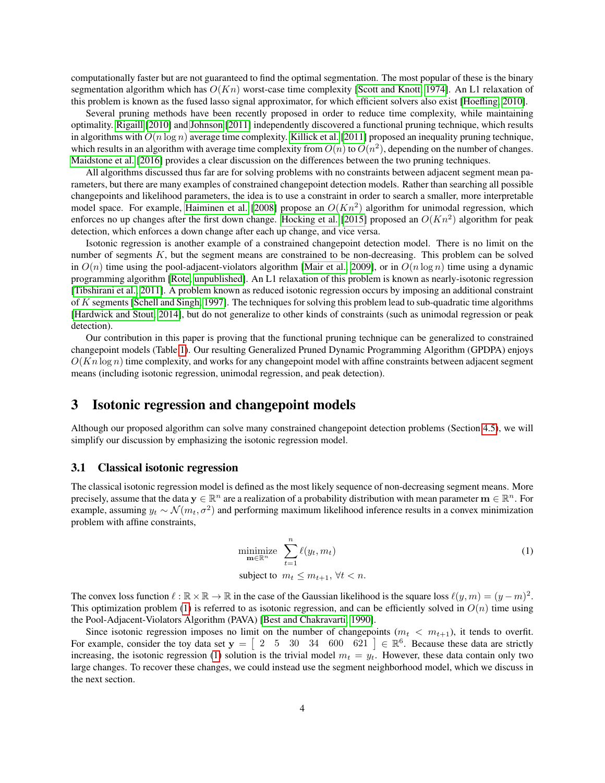computationally faster but are not guaranteed to find the optimal segmentation. The most popular of these is the binary segmentation algorithm which has  $O(Kn)$  worst-case time complexity [\[Scott and Knott, 1974\]](#page-21-2). An L1 relaxation of this problem is known as the fused lasso signal approximator, for which efficient solvers also exist [\[Hoefling, 2010\]](#page-20-6).

Several pruning methods have been recently proposed in order to reduce time complexity, while maintaining optimality. [Rigaill](#page-21-0) [\[2010\]](#page-21-0) and [Johnson](#page-20-7) [\[2011\]](#page-20-7) independently discovered a functional pruning technique, which results in algorithms with  $O(n \log n)$  average time complexity. [Killick et al.](#page-21-3) [\[2011\]](#page-21-3) proposed an inequality pruning technique, which results in an algorithm with average time complexity from  $O(n)$  to  $O(n^2)$ , depending on the number of changes. [Maidstone et al.](#page-21-1) [\[2016\]](#page-21-1) provides a clear discussion on the differences between the two pruning techniques.

All algorithms discussed thus far are for solving problems with no constraints between adjacent segment mean parameters, but there are many examples of constrained changepoint detection models. Rather than searching all possible changepoints and likelihood parameters, the idea is to use a constraint in order to search a smaller, more interpretable model space. For example, [Haiminen et al.](#page-20-8) [\[2008\]](#page-20-8) propose an  $O(Kn^2)$  algorithm for unimodal regression, which enforces no up changes after the first down change. [Hocking et al.](#page-20-3) [\[2015\]](#page-20-3) proposed an  $O(Kn^2)$  algorithm for peak detection, which enforces a down change after each up change, and vice versa.

Isotonic regression is another example of a constrained changepoint detection model. There is no limit on the number of segments K, but the segment means are constrained to be non-decreasing. This problem can be solved in  $O(n)$  time using the pool-adjacent-violators algorithm [\[Mair et al., 2009\]](#page-21-4), or in  $O(n \log n)$  time using a dynamic programming algorithm [\[Rote, unpublished\]](#page-21-5). An L1 relaxation of this problem is known as nearly-isotonic regression [\[Tibshirani et al., 2011\]](#page-21-6). A problem known as reduced isotonic regression occurs by imposing an additional constraint of K segments [\[Schell and Singh, 1997\]](#page-21-7). The techniques for solving this problem lead to sub-quadratic time algorithms [\[Hardwick and Stout, 2014\]](#page-20-9), but do not generalize to other kinds of constraints (such as unimodal regression or peak detection).

Our contribution in this paper is proving that the functional pruning technique can be generalized to constrained changepoint models (Table [1\)](#page-2-3). Our resulting Generalized Pruned Dynamic Programming Algorithm (GPDPA) enjoys  $O(Kn \log n)$  time complexity, and works for any changepoint model with affine constraints between adjacent segment means (including isotonic regression, unimodal regression, and peak detection).

# <span id="page-3-0"></span>3 Isotonic regression and changepoint models

Although our proposed algorithm can solve many constrained changepoint detection problems (Section [4.5\)](#page-8-0), we will simplify our discussion by emphasizing the isotonic regression model.

#### <span id="page-3-1"></span>3.1 Classical isotonic regression

The classical isotonic regression model is defined as the most likely sequence of non-decreasing segment means. More precisely, assume that the data  $y \in \mathbb{R}^n$  are a realization of a probability distribution with mean parameter  $m \in \mathbb{R}^n$ . For example, assuming  $y_t \sim \mathcal{N}(m_t, \sigma^2)$  and performing maximum likelihood inference results in a convex minimization problem with affine constraints,

<span id="page-3-2"></span>
$$
\underset{\mathbf{m}\in\mathbb{R}^n}{\text{minimize}} \quad \sum_{t=1}^n \ell(y_t, m_t) \tag{1}
$$
\n
$$
\text{subject to} \quad m_t \le m_{t+1}, \forall t < n.
$$

The convex loss function  $\ell : \mathbb{R} \times \mathbb{R} \to \mathbb{R}$  in the case of the Gaussian likelihood is the square loss  $\ell(y, m) = (y - m)^2$ . This optimization problem [\(1\)](#page-3-2) is referred to as isotonic regression, and can be efficiently solved in  $O(n)$  time using the Pool-Adjacent-Violators Algorithm (PAVA) [\[Best and Chakravarti, 1990\]](#page-20-10).

Since isotonic regression imposes no limit on the number of changepoints  $(m_t < m_{t+1})$ , it tends to overfit. For example, consider the toy data set  $y = \begin{bmatrix} 2 & 5 & 30 & 34 & 600 & 621 \end{bmatrix} \in \mathbb{R}^6$ . Because these data are strictly increasing, the isotonic regression [\(1\)](#page-3-2) solution is the trivial model  $m_t = y_t$ . However, these data contain only two large changes. To recover these changes, we could instead use the segment neighborhood model, which we discuss in the next section.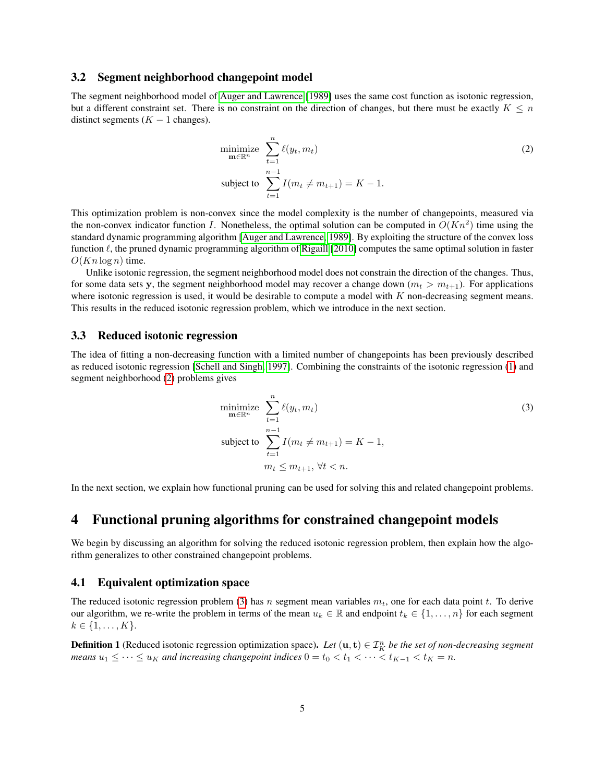#### <span id="page-4-0"></span>3.2 Segment neighborhood changepoint model

The segment neighborhood model of [Auger and Lawrence](#page-20-0) [\[1989\]](#page-20-0) uses the same cost function as isotonic regression, but a different constraint set. There is no constraint on the direction of changes, but there must be exactly  $K \leq n$ distinct segments  $(K - 1)$  changes).

<span id="page-4-4"></span>
$$
\underset{\mathbf{m}\in\mathbb{R}^n}{\text{minimize}} \quad \sum_{t=1}^n \ell(y_t, m_t)
$$
\n
$$
\text{subject to} \quad \sum_{t=1}^{n-1} I(m_t \neq m_{t+1}) = K - 1.
$$
\n
$$
(2)
$$

This optimization problem is non-convex since the model complexity is the number of changepoints, measured via the non-convex indicator function I. Nonetheless, the optimal solution can be computed in  $O(Kn^2)$  time using the standard dynamic programming algorithm [\[Auger and Lawrence, 1989\]](#page-20-0). By exploiting the structure of the convex loss function  $\ell$ , the pruned dynamic programming algorithm of [Rigaill](#page-21-0) [\[2010\]](#page-21-0) computes the same optimal solution in faster  $O(Kn \log n)$  time.

Unlike isotonic regression, the segment neighborhood model does not constrain the direction of the changes. Thus, for some data sets y, the segment neighborhood model may recover a change down  $(m_t > m_{t+1})$ . For applications where isotonic regression is used, it would be desirable to compute a model with K non-decreasing segment means. This results in the reduced isotonic regression problem, which we introduce in the next section.

#### <span id="page-4-1"></span>3.3 Reduced isotonic regression

The idea of fitting a non-decreasing function with a limited number of changepoints has been previously described as reduced isotonic regression [\[Schell and Singh, 1997\]](#page-21-7). Combining the constraints of the isotonic regression [\(1\)](#page-3-2) and segment neighborhood [\(2\)](#page-4-4) problems gives

<span id="page-4-5"></span>
$$
\begin{aligned}\n\underset{\mathbf{m}\in\mathbb{R}^n}{\text{minimize}} & \sum_{t=1}^n \ell(y_t, m_t) \\
\text{subject to} & \sum_{t=1}^{n-1} I(m_t \neq m_{t+1}) = K - 1, \\
& m_t \leq m_{t+1}, \forall t < n.\n\end{aligned} \tag{3}
$$

In the next section, we explain how functional pruning can be used for solving this and related changepoint problems.

# <span id="page-4-2"></span>4 Functional pruning algorithms for constrained changepoint models

We begin by discussing an algorithm for solving the reduced isotonic regression problem, then explain how the algorithm generalizes to other constrained changepoint problems.

#### <span id="page-4-3"></span>4.1 Equivalent optimization space

The reduced isotonic regression problem [\(3\)](#page-4-5) has n segment mean variables  $m_t$ , one for each data point t. To derive our algorithm, we re-write the problem in terms of the mean  $u_k \in \mathbb{R}$  and endpoint  $t_k \in \{1, \ldots, n\}$  for each segment  $k \in \{1, \ldots, K\}.$ 

**Definition 1** (Reduced isotonic regression optimization space). Let  $(u, t) \in \mathcal{I}_K^n$  be the set of non-decreasing segment *means*  $u_1 \leq \cdots \leq u_K$  *and increasing changepoint indices*  $0 = t_0 < t_1 < \cdots < t_{K-1} < t_K = n$ .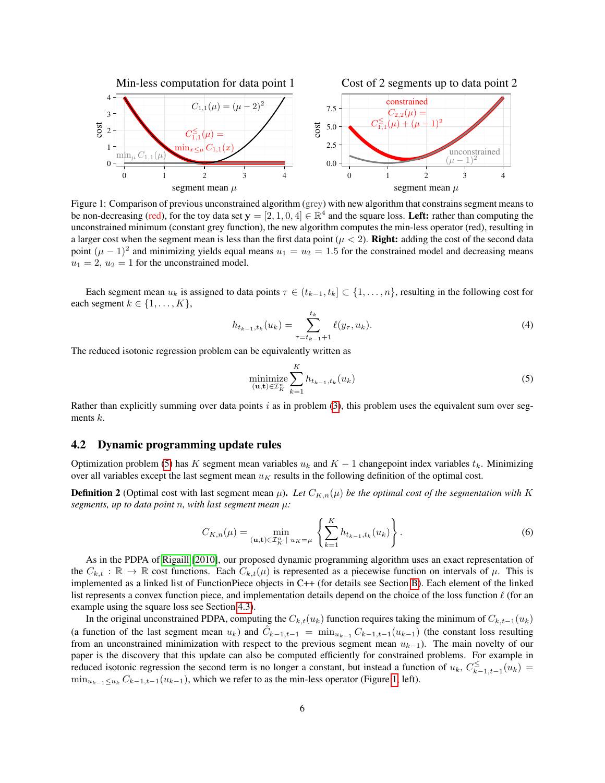

<span id="page-5-2"></span>Figure 1: Comparison of previous unconstrained algorithm (grey) with new algorithm that constrains segment means to be non-decreasing (red), for the toy data set  $y = [2, 1, 0, 4] \in \mathbb{R}^4$  and the square loss. Left: rather than computing the unconstrained minimum (constant grey function), the new algorithm computes the min-less operator (red), resulting in a larger cost when the segment mean is less than the first data point ( $\mu$  < 2). **Right:** adding the cost of the second data point  $(\mu - 1)^2$  and minimizing yields equal means  $u_1 = u_2 = 1.5$  for the constrained model and decreasing means  $u_1 = 2$ ,  $u_2 = 1$  for the unconstrained model.

Each segment mean  $u_k$  is assigned to data points  $\tau \in (t_{k-1}, t_k] \subset \{1, \ldots, n\}$ , resulting in the following cost for each segment  $k \in \{1, \ldots, K\},\$ 

$$
h_{t_{k-1},t_k}(u_k) = \sum_{\tau=t_{k-1}+1}^{t_k} \ell(y_\tau, u_k).
$$
 (4)

The reduced isotonic regression problem can be equivalently written as

<span id="page-5-1"></span>
$$
\underset{(\mathbf{u},\mathbf{t})\in\mathcal{I}_K^n}{\text{minimize}} \sum_{k=1}^K h_{t_{k-1},t_k}(u_k) \tag{5}
$$

Rather than explicitly summing over data points  $i$  as in problem [\(3\)](#page-4-5), this problem uses the equivalent sum over segments k.

#### <span id="page-5-0"></span>4.2 Dynamic programming update rules

Optimization problem [\(5\)](#page-5-1) has K segment mean variables  $u_k$  and K – 1 changepoint index variables  $t_k$ . Minimizing over all variables except the last segment mean  $u<sub>K</sub>$  results in the following definition of the optimal cost.

<span id="page-5-3"></span>**Definition 2** (Optimal cost with last segment mean  $\mu$ ). Let  $C_{K,n}(\mu)$  be the optimal cost of the segmentation with K *segments, up to data point* n*, with last segment mean* µ*:*

$$
C_{K,n}(\mu) = \min_{(\mathbf{u}, \mathbf{t}) \in \mathcal{I}_K^n \; | \; u_K = \mu} \left\{ \sum_{k=1}^K h_{t_{k-1}, t_k}(u_k) \right\}.
$$
 (6)

As in the PDPA of [Rigaill](#page-21-0) [\[2010\]](#page-21-0), our proposed dynamic programming algorithm uses an exact representation of the  $C_{k,t} : \mathbb{R} \to \mathbb{R}$  cost functions. Each  $C_{k,t}(\mu)$  is represented as a piecewise function on intervals of  $\mu$ . This is implemented as a linked list of FunctionPiece objects in C++ (for details see Section [B\)](#page-12-1). Each element of the linked list represents a convex function piece, and implementation details depend on the choice of the loss function  $\ell$  (for an example using the square loss see Section [4.3\)](#page-6-0).

In the original unconstrained PDPA, computing the  $C_{k,t}(u_k)$  function requires taking the minimum of  $C_{k,t-1}(u_k)$ (a function of the last segment mean  $u_k$ ) and  $\hat{C}_{k-1,t-1} = \min_{u_{k-1}} C_{k-1,t-1}(u_{k-1})$  (the constant loss resulting from an unconstrained minimization with respect to the previous segment mean  $u_{k-1}$ ). The main novelty of our paper is the discovery that this update can also be computed efficiently for constrained problems. For example in reduced isotonic regression the second term is no longer a constant, but instead a function of  $u_k$ ,  $C_{k-1,t-1}^{\le}(u_k)$  =  $\min_{u_{k-1} \leq u_k} C_{k-1,t-1}(u_{k-1})$ , which we refer to as the min-less operator (Figure [1,](#page-5-2) left).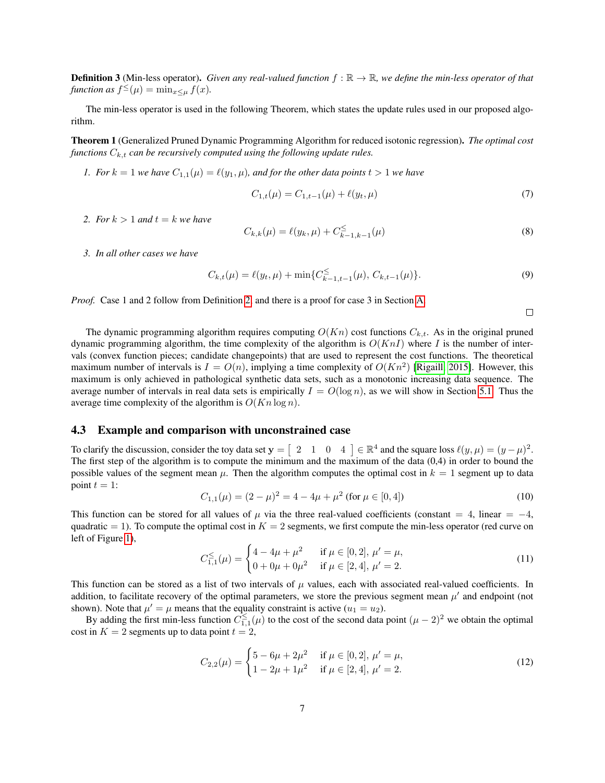<span id="page-6-2"></span>**Definition 3** (Min-less operator). *Given any real-valued function*  $f : \mathbb{R} \to \mathbb{R}$ *, we define the min-less operator of that*  $function \; as \; f^{\leq}(\mu) = \min_{x \leq \mu} f(x).$ 

The min-less operator is used in the following Theorem, which states the update rules used in our proposed algorithm.

<span id="page-6-1"></span>Theorem 1 (Generalized Pruned Dynamic Programming Algorithm for reduced isotonic regression). *The optimal cost functions*  $C_{k,t}$  *can be recursively computed using the following update rules.* 

*1. For*  $k = 1$  *we have*  $C_{1,1}(\mu) = \ell(y_1, \mu)$ *, and for the other data points*  $t > 1$  *we have* 

$$
C_{1,t}(\mu) = C_{1,t-1}(\mu) + \ell(y_t, \mu)
$$
\n(7)

*2. For*  $k > 1$  *and*  $t = k$  *we have* 

$$
C_{k,k}(\mu) = \ell(y_k, \mu) + C_{k-1,k-1}^{\leq}(\mu)
$$
\n(8)

*3. In all other cases we have*

$$
C_{k,t}(\mu) = \ell(y_t, \mu) + \min\{C_{k-1,t-1}^{\leq}(\mu), C_{k,t-1}(\mu)\}.
$$
\n(9)

*Proof.* Case 1 and 2 follow from Definition [2,](#page-5-3) and there is a proof for case 3 in Section [A.](#page-12-0)

 $\Box$ 

The dynamic programming algorithm requires computing  $O(Kn)$  cost functions  $C_{k,t}$ . As in the original pruned dynamic programming algorithm, the time complexity of the algorithm is  $O(KnI)$  where I is the number of intervals (convex function pieces; candidate changepoints) that are used to represent the cost functions. The theoretical maximum number of intervals is  $I = O(n)$ , implying a time complexity of  $O(Kn^2)$  [\[Rigaill, 2015\]](#page-21-8). However, this maximum is only achieved in pathological synthetic data sets, such as a monotonic increasing data sequence. The average number of intervals in real data sets is empirically  $I = O(\log n)$ , as we will show in Section [5.1.](#page-9-0) Thus the average time complexity of the algorithm is  $O(Kn \log n)$ .

#### <span id="page-6-0"></span>4.3 Example and comparison with unconstrained case

To clarify the discussion, consider the toy data set  $y = \begin{bmatrix} 2 & 1 & 0 & 4 \end{bmatrix} \in \mathbb{R}^4$  and the square loss  $\ell(y, \mu) = (y - \mu)^2$ . The first step of the algorithm is to compute the minimum and the maximum of the data  $(0,4)$  in order to bound the possible values of the segment mean  $\mu$ . Then the algorithm computes the optimal cost in  $k = 1$  segment up to data point  $t = 1$ :

$$
C_{1,1}(\mu) = (2 - \mu)^2 = 4 - 4\mu + \mu^2 \text{ (for } \mu \in [0, 4])
$$
\n(10)

This function can be stored for all values of  $\mu$  via the three real-valued coefficients (constant = 4, linear = -4, quadratic  $= 1$ ). To compute the optimal cost in  $K = 2$  segments, we first compute the min-less operator (red curve on left of Figure [1\)](#page-5-2),

$$
C_{1,1}^{\leq}(\mu) = \begin{cases} 4 - 4\mu + \mu^2 & \text{if } \mu \in [0, 2], \mu' = \mu, \\ 0 + 0\mu + 0\mu^2 & \text{if } \mu \in [2, 4], \mu' = 2. \end{cases}
$$
(11)

This function can be stored as a list of two intervals of  $\mu$  values, each with associated real-valued coefficients. In addition, to facilitate recovery of the optimal parameters, we store the previous segment mean  $\mu'$  and endpoint (not shown). Note that  $\mu' = \mu$  means that the equality constraint is active  $(u_1 = u_2)$ .

By adding the first min-less function  $C_{1,1}^{\leq}(\mu)$  to the cost of the second data point  $(\mu - 2)^2$  we obtain the optimal cost in  $K = 2$  segments up to data point  $t = 2$ ,

$$
C_{2,2}(\mu) = \begin{cases} 5 - 6\mu + 2\mu^2 & \text{if } \mu \in [0, 2], \mu' = \mu, \\ 1 - 2\mu + 1\mu^2 & \text{if } \mu \in [2, 4], \mu' = 2. \end{cases}
$$
(12)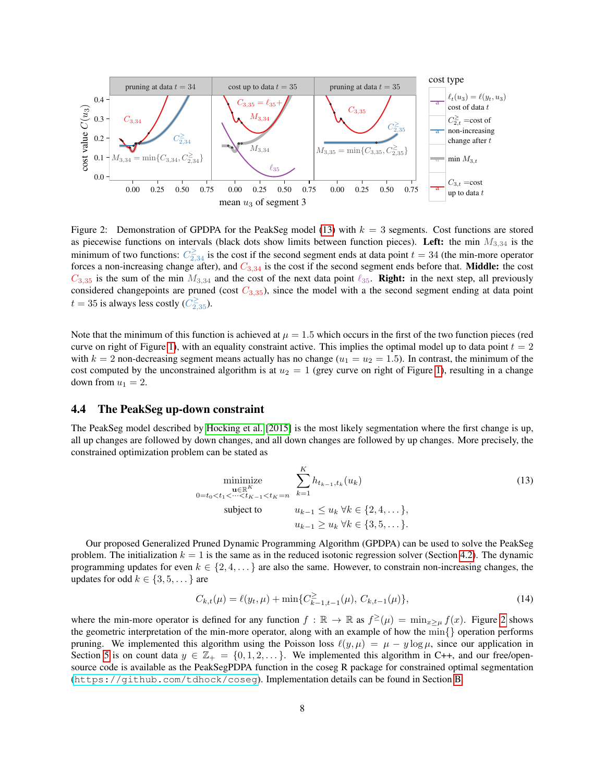

<span id="page-7-2"></span>Figure 2: Demonstration of GPDPA for the PeakSeg model [\(13\)](#page-7-1) with  $k = 3$  segments. Cost functions are stored as piecewise functions on intervals (black dots show limits between function pieces). Left: the min  $M_{3,34}$  is the minimum of two functions:  $C_{2,34}^{\geq}$  is the cost if the second segment ends at data point  $t = 34$  (the min-more operator forces a non-increasing change after), and  $C_{3,34}$  is the cost if the second segment ends before that. **Middle:** the cost  $C_{3,35}$  is the sum of the min  $M_{3,34}$  and the cost of the next data point  $\ell_{35}$ . Right: in the next step, all previously considered changepoints are pruned (cost  $C_{3,35}$ ), since the model with a the second segment ending at data point  $t = 35$  is always less costly ( $C_{2,35}^{\geq}$ ).

Note that the minimum of this function is achieved at  $\mu = 1.5$  which occurs in the first of the two function pieces (red curve on right of Figure [1\)](#page-5-2), with an equality constraint active. This implies the optimal model up to data point  $t = 2$ with  $k = 2$  non-decreasing segment means actually has no change  $(u_1 = u_2 = 1.5)$ . In contrast, the minimum of the cost computed by the unconstrained algorithm is at  $u_2 = 1$  (grey curve on right of Figure [1\)](#page-5-2), resulting in a change down from  $u_1 = 2$ .

#### <span id="page-7-0"></span>4.4 The PeakSeg up-down constraint

The PeakSeg model described by [Hocking et al.](#page-20-3) [\[2015\]](#page-20-3) is the most likely segmentation where the first change is up, all up changes are followed by down changes, and all down changes are followed by up changes. More precisely, the constrained optimization problem can be stated as

<span id="page-7-1"></span>
$$
\underset{\substack{\mathbf{u}\in\mathbb{R}^K\\ \text{subject to}}} {\text{minimize}} \sum_{k=1}^K h_{t_{k-1},t_k}(u_k)
$$
\n
$$
\text{subject to}} \qquad u_{k-1} \le u_k \ \forall k \in \{2, 4, \dots\},
$$
\n
$$
u_{k-1} \ge u_k \ \forall k \in \{3, 5, \dots\}.
$$
\n
$$
(13)
$$

Our proposed Generalized Pruned Dynamic Programming Algorithm (GPDPA) can be used to solve the PeakSeg problem. The initialization  $k = 1$  is the same as in the reduced isotonic regression solver (Section [4.2\)](#page-5-0). The dynamic programming updates for even  $k \in \{2, 4, \dots\}$  are also the same. However, to constrain non-increasing changes, the updates for odd  $k \in \{3, 5, \dots\}$  are

$$
C_{k,t}(\mu) = \ell(y_t, \mu) + \min\{C_{k-1,t-1}^{\geq}(\mu), C_{k,t-1}(\mu)\},\tag{14}
$$

where the min-more operator is defined for any function  $f : \mathbb{R} \to \mathbb{R}$  as  $f^{\geq}(\mu) = \min_{x \geq \mu} f(x)$ . Figure [2](#page-7-2) shows the geometric interpretation of the min-more operator, along with an example of how the  $\min\{\}$  operation performs pruning. We implemented this algorithm using the Poisson loss  $\ell(y, \mu) = \mu - y \log \mu$ , since our application in Section [5](#page-8-1) is on count data  $y \in \mathbb{Z}_+ = \{0, 1, 2, \dots\}$ . We implemented this algorithm in C++, and our free/opensource code is available as the PeakSegPDPA function in the coseg R package for constrained optimal segmentation (<https://github.com/tdhock/coseg>). Implementation details can be found in Section [B.](#page-12-1)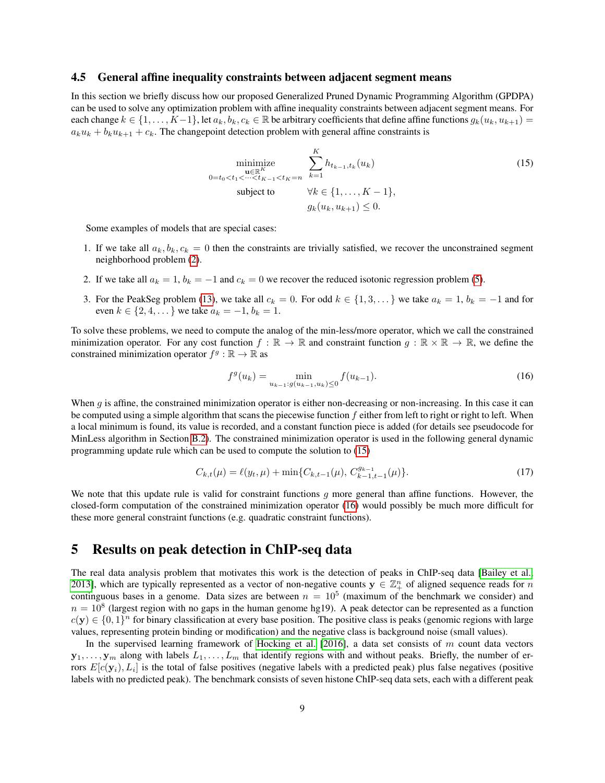#### <span id="page-8-0"></span>4.5 General affine inequality constraints between adjacent segment means

In this section we briefly discuss how our proposed Generalized Pruned Dynamic Programming Algorithm (GPDPA) can be used to solve any optimization problem with affine inequality constraints between adjacent segment means. For each change  $k \in \{1, \ldots, K-1\}$ , let  $a_k, b_k, c_k \in \mathbb{R}$  be arbitrary coefficients that define affine functions  $g_k(u_k, u_{k+1}) =$  $a_ku_k + b_ku_{k+1} + c_k$ . The changepoint detection problem with general affine constraints is

<span id="page-8-2"></span>
$$
\underset{0=t_0 < t_1 < \dots < t_K - 1 < t_K = n}{\text{minimize}} \sum_{k=1}^K h_{t_{k-1}, t_k}(u_k) \tag{15}
$$
\n
$$
\text{subject to} \quad \forall k \in \{1, \dots, K - 1\},
$$
\n
$$
g_k(u_k, u_{k+1}) \le 0.
$$

Some examples of models that are special cases:

- 1. If we take all  $a_k, b_k, c_k = 0$  then the constraints are trivially satisfied, we recover the unconstrained segment neighborhood problem [\(2\)](#page-4-4).
- 2. If we take all  $a_k = 1$ ,  $b_k = -1$  and  $c_k = 0$  we recover the reduced isotonic regression problem [\(5\)](#page-5-1).
- 3. For the PeakSeg problem [\(13\)](#page-7-1), we take all  $c_k = 0$ . For odd  $k \in \{1, 3, \dots\}$  we take  $a_k = 1$ ,  $b_k = -1$  and for even  $k \in \{2, 4, \dots\}$  we take  $a_k = -1, b_k = 1$ .

To solve these problems, we need to compute the analog of the min-less/more operator, which we call the constrained minimization operator. For any cost function  $f : \mathbb{R} \to \mathbb{R}$  and constraint function  $g : \mathbb{R} \times \mathbb{R} \to \mathbb{R}$ , we define the constrained minimization operator  $f^g : \mathbb{R} \to \mathbb{R}$  as

<span id="page-8-3"></span>
$$
f^g(u_k) = \min_{u_{k-1}: g(u_{k-1}, u_k) \le 0} f(u_{k-1}).
$$
\n(16)

When q is affine, the constrained minimization operator is either non-decreasing or non-increasing. In this case it can be computed using a simple algorithm that scans the piecewise function  $f$  either from left to right or right to left. When a local minimum is found, its value is recorded, and a constant function piece is added (for details see pseudocode for MinLess algorithm in Section [B.2\)](#page-14-0). The constrained minimization operator is used in the following general dynamic programming update rule which can be used to compute the solution to [\(15\)](#page-8-2)

$$
C_{k,t}(\mu) = \ell(y_t, \mu) + \min\{C_{k,t-1}(\mu), C_{k-1,t-1}^{g_{k-1}}(\mu)\}.
$$
\n(17)

We note that this update rule is valid for constraint functions  $g$  more general than affine functions. However, the closed-form computation of the constrained minimization operator [\(16\)](#page-8-3) would possibly be much more difficult for these more general constraint functions (e.g. quadratic constraint functions).

## <span id="page-8-1"></span>5 Results on peak detection in ChIP-seq data

The real data analysis problem that motivates this work is the detection of peaks in ChIP-seq data [\[Bailey et al.,](#page-20-2) [2013\]](#page-20-2), which are typically represented as a vector of non-negative counts  $y \in \mathbb{Z}_+^n$  of aligned sequence reads for n continguous bases in a genome. Data sizes are between  $n = 10^5$  (maximum of the benchmark we consider) and  $n = 10<sup>8</sup>$  (largest region with no gaps in the human genome hg19). A peak detector can be represented as a function  $c(y) \in \{0,1\}^n$  for binary classification at every base position. The positive class is peaks (genomic regions with large values, representing protein binding or modification) and the negative class is background noise (small values).

In the supervised learning framework of [Hocking et al.](#page-20-11)  $[2016]$ , a data set consists of m count data vectors  $y_1, \ldots, y_m$  along with labels  $L_1, \ldots, L_m$  that identify regions with and without peaks. Briefly, the number of errors  $E[c(\mathbf{y}_i), L_i]$  is the total of false positives (negative labels with a predicted peak) plus false negatives (positive labels with no predicted peak). The benchmark consists of seven histone ChIP-seq data sets, each with a different peak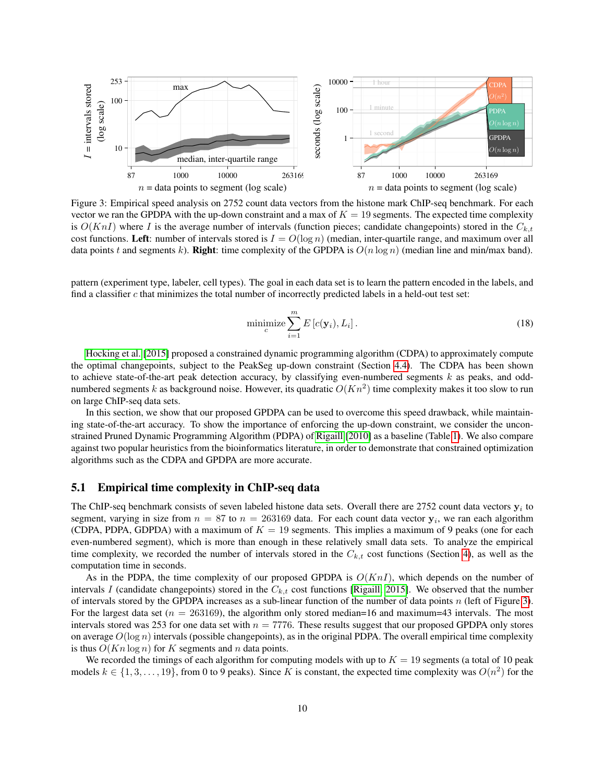

<span id="page-9-1"></span>Figure 3: Empirical speed analysis on 2752 count data vectors from the histone mark ChIP-seq benchmark. For each vector we ran the GPDPA with the up-down constraint and a max of  $K = 19$  segments. The expected time complexity is  $O(KnI)$  where I is the average number of intervals (function pieces; candidate changepoints) stored in the  $C_{k,t}$ cost functions. Left: number of intervals stored is  $I = O(\log n)$  (median, inter-quartile range, and maximum over all data points t and segments k). Right: time complexity of the GPDPA is  $O(n \log n)$  (median line and min/max band).

pattern (experiment type, labeler, cell types). The goal in each data set is to learn the pattern encoded in the labels, and find a classifier  $c$  that minimizes the total number of incorrectly predicted labels in a held-out test set:

$$
\underset{c}{\text{minimize}} \sum_{i=1}^{m} E\left[c(\mathbf{y}_i), L_i\right]. \tag{18}
$$

[Hocking et al.](#page-20-3) [\[2015\]](#page-20-3) proposed a constrained dynamic programming algorithm (CDPA) to approximately compute the optimal changepoints, subject to the PeakSeg up-down constraint (Section [4.4\)](#page-7-0). The CDPA has been shown to achieve state-of-the-art peak detection accuracy, by classifying even-numbered segments k as peaks, and oddnumbered segments k as background noise. However, its quadratic  $O(Kn^2)$  time complexity makes it too slow to run on large ChIP-seq data sets.

In this section, we show that our proposed GPDPA can be used to overcome this speed drawback, while maintaining state-of-the-art accuracy. To show the importance of enforcing the up-down constraint, we consider the unconstrained Pruned Dynamic Programming Algorithm (PDPA) of [Rigaill](#page-21-0) [\[2010\]](#page-21-0) as a baseline (Table [1\)](#page-2-3). We also compare against two popular heuristics from the bioinformatics literature, in order to demonstrate that constrained optimization algorithms such as the CDPA and GPDPA are more accurate.

#### <span id="page-9-0"></span>5.1 Empirical time complexity in ChIP-seq data

The ChIP-seq benchmark consists of seven labeled histone data sets. Overall there are 2752 count data vectors  $y_i$  to segment, varying in size from  $n = 87$  to  $n = 263169$  data. For each count data vector  $y_i$ , we ran each algorithm (CDPA, PDPA, GDPDA) with a maximum of  $K = 19$  segments. This implies a maximum of 9 peaks (one for each even-numbered segment), which is more than enough in these relatively small data sets. To analyze the empirical time complexity, we recorded the number of intervals stored in the  $C_{k,t}$  cost functions (Section [4\)](#page-4-2), as well as the computation time in seconds.

As in the PDPA, the time complexity of our proposed GPDPA is  $O(KnI)$ , which depends on the number of intervals I (candidate changepoints) stored in the  $C_{k,t}$  cost functions [\[Rigaill, 2015\]](#page-21-8). We observed that the number of intervals stored by the GPDPA increases as a sub-linear function of the number of data points  $n$  (left of Figure [3\)](#page-9-1). For the largest data set ( $n = 263169$ ), the algorithm only stored median=16 and maximum=43 intervals. The most intervals stored was 253 for one data set with  $n = 7776$ . These results suggest that our proposed GPDPA only stores on average  $O(\log n)$  intervals (possible changepoints), as in the original PDPA. The overall empirical time complexity is thus  $O(Kn \log n)$  for K segments and n data points.

We recorded the timings of each algorithm for computing models with up to  $K = 19$  segments (a total of 10 peak models  $k \in \{1, 3, ..., 19\}$ , from 0 to 9 peaks). Since K is constant, the expected time complexity was  $O(n^2)$  for the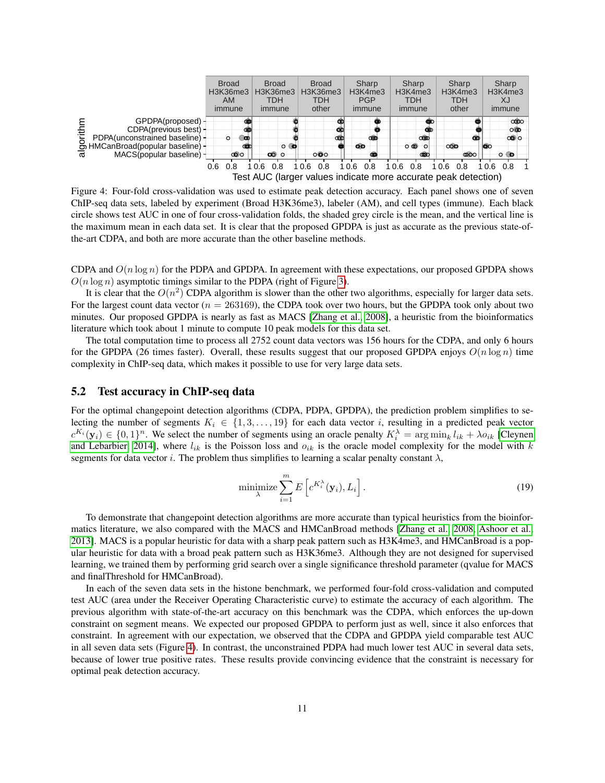

<span id="page-10-1"></span>Figure 4: Four-fold cross-validation was used to estimate peak detection accuracy. Each panel shows one of seven ChIP-seq data sets, labeled by experiment (Broad H3K36me3), labeler (AM), and cell types (immune). Each black circle shows test AUC in one of four cross-validation folds, the shaded grey circle is the mean, and the vertical line is the maximum mean in each data set. It is clear that the proposed GPDPA is just as accurate as the previous state-ofthe-art CDPA, and both are more accurate than the other baseline methods.

CDPA and  $O(n \log n)$  for the PDPA and GPDPA. In agreement with these expectations, our proposed GPDPA shows  $O(n \log n)$  asymptotic timings similar to the PDPA (right of Figure [3\)](#page-9-1).

It is clear that the  $O(n^2)$  CDPA algorithm is slower than the other two algorithms, especially for larger data sets. For the largest count data vector ( $n = 263169$ ), the CDPA took over two hours, but the GPDPA took only about two minutes. Our proposed GPDPA is nearly as fast as MACS [\[Zhang et al., 2008\]](#page-21-9), a heuristic from the bioinformatics literature which took about 1 minute to compute 10 peak models for this data set.

The total computation time to process all 2752 count data vectors was 156 hours for the CDPA, and only 6 hours for the GPDPA (26 times faster). Overall, these results suggest that our proposed GPDPA enjoys  $O(n \log n)$  time complexity in ChIP-seq data, which makes it possible to use for very large data sets.

#### <span id="page-10-0"></span>5.2 Test accuracy in ChIP-seq data

For the optimal changepoint detection algorithms (CDPA, PDPA, GPDPA), the prediction problem simplifies to selecting the number of segments  $K_i \in \{1, 3, ..., 19\}$  for each data vector i, resulting in a predicted peak vector  $c^{Ki}(\mathbf{y}_i) \in \{0,1\}^n$ . We select the number of segments using an oracle penalty  $K_i^{\lambda} = \arg \min_k l_{ik} + \lambda o_{ik}$  [\[Cleynen](#page-21-10) [and Lebarbier, 2014\]](#page-21-10), where  $l_{ik}$  is the Poisson loss and  $o_{ik}$  is the oracle model complexity for the model with k segments for data vector i. The problem thus simplifies to learning a scalar penalty constant  $\lambda$ ,

$$
\underset{\lambda}{\text{minimize}} \sum_{i=1}^{m} E\left[c^{K_i^{\lambda}}(\mathbf{y}_i), L_i\right].
$$
\n(19)

To demonstrate that changepoint detection algorithms are more accurate than typical heuristics from the bioinformatics literature, we also compared with the MACS and HMCanBroad methods [\[Zhang et al., 2008,](#page-21-9) [Ashoor et al.,](#page-20-12) [2013\]](#page-20-12). MACS is a popular heuristic for data with a sharp peak pattern such as H3K4me3, and HMCanBroad is a popular heuristic for data with a broad peak pattern such as H3K36me3. Although they are not designed for supervised learning, we trained them by performing grid search over a single significance threshold parameter (qvalue for MACS and finalThreshold for HMCanBroad).

In each of the seven data sets in the histone benchmark, we performed four-fold cross-validation and computed test AUC (area under the Receiver Operating Characteristic curve) to estimate the accuracy of each algorithm. The previous algorithm with state-of-the-art accuracy on this benchmark was the CDPA, which enforces the up-down constraint on segment means. We expected our proposed GPDPA to perform just as well, since it also enforces that constraint. In agreement with our expectation, we observed that the CDPA and GPDPA yield comparable test AUC in all seven data sets (Figure [4\)](#page-10-1). In contrast, the unconstrained PDPA had much lower test AUC in several data sets, because of lower true positive rates. These results provide convincing evidence that the constraint is necessary for optimal peak detection accuracy.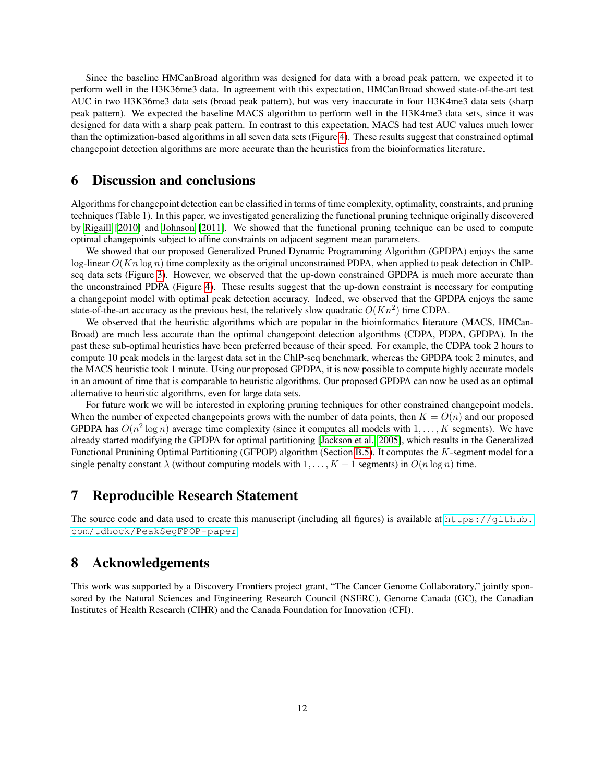Since the baseline HMCanBroad algorithm was designed for data with a broad peak pattern, we expected it to perform well in the H3K36me3 data. In agreement with this expectation, HMCanBroad showed state-of-the-art test AUC in two H3K36me3 data sets (broad peak pattern), but was very inaccurate in four H3K4me3 data sets (sharp peak pattern). We expected the baseline MACS algorithm to perform well in the H3K4me3 data sets, since it was designed for data with a sharp peak pattern. In contrast to this expectation, MACS had test AUC values much lower than the optimization-based algorithms in all seven data sets (Figure [4\)](#page-10-1). These results suggest that constrained optimal changepoint detection algorithms are more accurate than the heuristics from the bioinformatics literature.

# <span id="page-11-0"></span>6 Discussion and conclusions

Algorithms for changepoint detection can be classified in terms of time complexity, optimality, constraints, and pruning techniques (Table 1). In this paper, we investigated generalizing the functional pruning technique originally discovered by [Rigaill](#page-21-0) [\[2010\]](#page-21-0) and [Johnson](#page-20-7) [\[2011\]](#page-20-7). We showed that the functional pruning technique can be used to compute optimal changepoints subject to affine constraints on adjacent segment mean parameters.

We showed that our proposed Generalized Pruned Dynamic Programming Algorithm (GPDPA) enjoys the same log-linear  $O(Kn \log n)$  time complexity as the original unconstrained PDPA, when applied to peak detection in ChIPseq data sets (Figure [3\)](#page-9-1). However, we observed that the up-down constrained GPDPA is much more accurate than the unconstrained PDPA (Figure [4\)](#page-10-1). These results suggest that the up-down constraint is necessary for computing a changepoint model with optimal peak detection accuracy. Indeed, we observed that the GPDPA enjoys the same state-of-the-art accuracy as the previous best, the relatively slow quadratic  $O(Kn^2)$  time CDPA.

We observed that the heuristic algorithms which are popular in the bioinformatics literature (MACS, HMCan-Broad) are much less accurate than the optimal changepoint detection algorithms (CDPA, PDPA, GPDPA). In the past these sub-optimal heuristics have been preferred because of their speed. For example, the CDPA took 2 hours to compute 10 peak models in the largest data set in the ChIP-seq benchmark, whereas the GPDPA took 2 minutes, and the MACS heuristic took 1 minute. Using our proposed GPDPA, it is now possible to compute highly accurate models in an amount of time that is comparable to heuristic algorithms. Our proposed GPDPA can now be used as an optimal alternative to heuristic algorithms, even for large data sets.

For future work we will be interested in exploring pruning techniques for other constrained changepoint models. When the number of expected changepoints grows with the number of data points, then  $K = O(n)$  and our proposed GPDPA has  $O(n^2 \log n)$  average time complexity (since it computes all models with  $1, \ldots, K$  segments). We have already started modifying the GPDPA for optimal partitioning [\[Jackson et al., 2005\]](#page-20-4), which results in the Generalized Functional Prunining Optimal Partitioning (GFPOP) algorithm (Section [B.5\)](#page-17-0). It computes the K-segment model for a single penalty constant  $\lambda$  (without computing models with  $1, \ldots, K-1$  segments) in  $O(n \log n)$  time.

# <span id="page-11-1"></span>7 Reproducible Research Statement

The source code and data used to create this manuscript (including all figures) is available at [https://github.](https://github.com/tdhock/PeakSegFPOP-paper) [com/tdhock/PeakSegFPOP-paper](https://github.com/tdhock/PeakSegFPOP-paper)

# <span id="page-11-2"></span>8 Acknowledgements

This work was supported by a Discovery Frontiers project grant, "The Cancer Genome Collaboratory," jointly sponsored by the Natural Sciences and Engineering Research Council (NSERC), Genome Canada (GC), the Canadian Institutes of Health Research (CIHR) and the Canada Foundation for Innovation (CFI).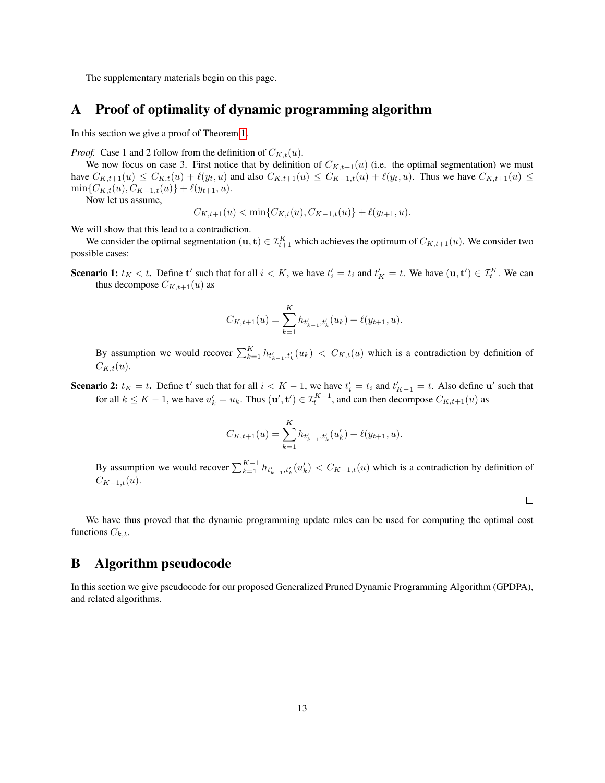The supplementary materials begin on this page.

# <span id="page-12-0"></span>A Proof of optimality of dynamic programming algorithm

In this section we give a proof of Theorem [1.](#page-6-1)

*Proof.* Case 1 and 2 follow from the definition of  $C_{K,t}(u)$ .

We now focus on case 3. First notice that by definition of  $C_{K,t+1}(u)$  (i.e. the optimal segmentation) we must have  $C_{K,t+1}(u) \leq C_{K,t}(u) + \ell(y_t, u)$  and also  $C_{K,t+1}(u) \leq C_{K-1,t}(u) + \ell(y_t, u)$ . Thus we have  $C_{K,t+1}(u) \leq C_{K,t+1}(u)$  $\min\{C_{K,t}(u), C_{K-1,t}(u)\} + \ell(y_{t+1}, u).$ 

Now let us assume,

$$
C_{K,t+1}(u) < \min\{C_{K,t}(u), C_{K-1,t}(u)\} + \ell(y_{t+1}, u).
$$

We will show that this lead to a contradiction.

We consider the optimal segmentation  $(\mathbf{u}, \mathbf{t}) \in \mathcal{I}_{t+1}^K$  which achieves the optimum of  $C_{K,t+1}(u)$ . We consider two possible cases:

**Scenario 1:**  $t_K < t$ . Define t' such that for all  $i < K$ , we have  $t'_i = t_i$  and  $t'_K = t$ . We have  $(\mathbf{u}, \mathbf{t}') \in \mathcal{I}_t^K$ . We can thus decompose  $C_{K,t+1}(u)$  as

$$
C_{K,t+1}(u) = \sum_{k=1}^{K} h_{t'_{k-1},t'_{k}}(u_k) + \ell(y_{t+1},u).
$$

By assumption we would recover  $\sum_{k=1}^{K} h_{t_{k-1},t_k'}(u_k) < C_{K,t}(u)$  which is a contradiction by definition of  $C_{K,t}(u)$ .

**Scenario 2:**  $t_K = t$ . Define t' such that for all  $i < K - 1$ , we have  $t'_i = t_i$  and  $t'_{K-1} = t$ . Also define u' such that for all  $k \leq K - 1$ , we have  $u'_k = u_k$ . Thus  $(\mathbf{u}', \mathbf{t}') \in \mathcal{I}_t^{K-1}$ , and can then decompose  $C_{K,t+1}(u)$  as

$$
C_{K,t+1}(u) = \sum_{k=1}^{K} h_{t'_{k-1},t'_{k}}(u'_{k}) + \ell(y_{t+1},u).
$$

By assumption we would recover  $\sum_{k=1}^{K-1} h_{t'_{k-1},t'_{k}}(u'_{k}) < C_{K-1,t}(u)$  which is a contradiction by definition of  $C_{K-1,t}(u)$ .

 $\Box$ 

We have thus proved that the dynamic programming update rules can be used for computing the optimal cost functions  $C_{k,t}$ .

# <span id="page-12-1"></span>B Algorithm pseudocode

In this section we give pseudocode for our proposed Generalized Pruned Dynamic Programming Algorithm (GPDPA), and related algorithms.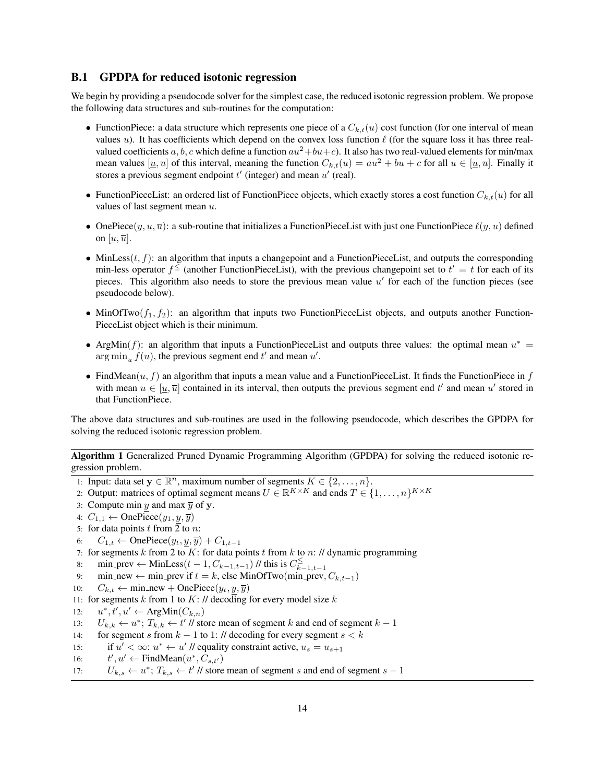#### <span id="page-13-0"></span>B.1 GPDPA for reduced isotonic regression

We begin by providing a pseudocode solver for the simplest case, the reduced isotonic regression problem. We propose the following data structures and sub-routines for the computation:

- FunctionPiece: a data structure which represents one piece of a  $C_{k,t}(u)$  cost function (for one interval of mean values u). It has coefficients which depend on the convex loss function  $\ell$  (for the square loss it has three realvalued coefficients a, b, c which define a function  $au^2+bu+c$ ). It also has two real-valued elements for min/max mean values  $[\underline{u}, \overline{u}]$  of this interval, meaning the function  $C_{k,t}(u) = au^2 + bu + c$  for all  $u \in [\underline{u}, \overline{u}]$ . Finally it stores a previous segment endpoint  $t'$  (integer) and mean  $u'$  (real).
- FunctionPieceList: an ordered list of FunctionPiece objects, which exactly stores a cost function  $C_{k,t}(u)$  for all values of last segment mean u.
- OnePiece $(y, \underline{u}, \overline{u})$ : a sub-routine that initializes a FunctionPieceList with just one FunctionPiece  $\ell(y, u)$  defined on  $[u, \overline{u}]$ .
- MinLess $(t, f)$ : an algorithm that inputs a changepoint and a FunctionPieceList, and outputs the corresponding min-less operator  $f^{\leq}$  (another FunctionPieceList), with the previous changepoint set to  $t' = t$  for each of its pieces. This algorithm also needs to store the previous mean value  $u'$  for each of the function pieces (see pseudocode below).
- MinOfTwo( $f_1, f_2$ ): an algorithm that inputs two FunctionPieceList objects, and outputs another Function-PieceList object which is their minimum.
- ArgMin(f): an algorithm that inputs a FunctionPieceList and outputs three values: the optimal mean  $u^* =$  $\arg \min_u f(u)$ , the previous segment end t' and mean u'.
- FindMean $(u, f)$  an algorithm that inputs a mean value and a FunctionPieceList. It finds the FunctionPiece in f with mean  $u \in [\underline{u}, \overline{u}]$  contained in its interval, then outputs the previous segment end  $t'$  and mean  $u'$  stored in that FunctionPiece.

The above data structures and sub-routines are used in the following pseudocode, which describes the GPDPA for solving the reduced isotonic regression problem.

<span id="page-13-1"></span>Algorithm 1 Generalized Pruned Dynamic Programming Algorithm (GPDPA) for solving the reduced isotonic regression problem.

- 1: Input: data set  $y \in \mathbb{R}^n$ , maximum number of segments  $K \in \{2, \ldots, n\}$ .
- <span id="page-13-3"></span><span id="page-13-2"></span>2: Output: matrices of optimal segment means  $U \in \mathbb{R}^{K \times K}$  and ends  $T \in \{1, ..., n\}^{K \times K}$
- 3: Compute min y and max  $\overline{y}$  of y.
- 4:  $C_{1,1} \leftarrow$  OnePiece $(y_1, y, \overline{y})$
- 5: for data points t from  $\overline{2}$  to n:
- <span id="page-13-8"></span><span id="page-13-4"></span>6:  $C_{1,t}$  ← OnePiece $(y_t, y, \overline{y})$  +  $C_{1,t-1}$
- <span id="page-13-5"></span>7: for segments k from 2 to K: for data points t from k to n: // dynamic programming
- <span id="page-13-7"></span>8: min\_prev ← MinLess $(t-1, C_{k-1,t-1})$  // this is  $C_{k-1,t-1}^{\leq}$
- <span id="page-13-6"></span>9: min\_new ← min\_prev if  $t = k$ , else MinOfTwo(min\_prev,  $C_{k,t-1}$ )
- 10:  $C_{k,t} \leftarrow \min_{\text{new}} + \text{OnePiece}(y_t, y, \overline{y})$
- <span id="page-13-9"></span>11: for segments  $k$  from 1 to  $K: \mathcal{U}$  decoding for every model size  $k$
- <span id="page-13-12"></span><span id="page-13-11"></span>12:  $u^*, t', u' \leftarrow \text{ArgMin}(C_{k,n})$
- 13:  $U_{k,k} \leftarrow u^*$ ;  $T_{k,k} \leftarrow t'/l$  store mean of segment k and end of segment  $k-1$
- 14: for segment s from  $k 1$  to 1: // decoding for every segment  $s < k$
- <span id="page-13-14"></span><span id="page-13-13"></span><span id="page-13-10"></span>15: if  $u' < \infty$ :  $u^* \leftarrow u'$  // equality constraint active,  $u_s = u_{s+1}$
- 16:  $v', u' \leftarrow \text{FindMean}(u^*, C_{s,t'})$
- 17:  $U_{k,s} \leftarrow u^*$ ;  $T_{k,s} \leftarrow t'$  // store mean of segment s and end of segment s 1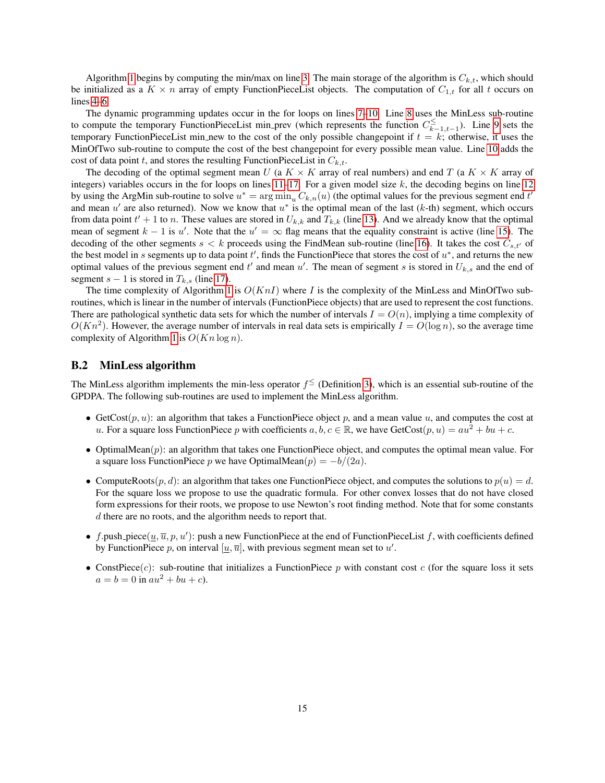Algorithm [1](#page-13-1) begins by computing the min/max on line [3.](#page-13-2) The main storage of the algorithm is  $C_{k,t}$ , which should be initialized as a  $K \times n$  array of empty FunctionPieceList objects. The computation of  $C_{1,t}$  for all t occurs on lines [4](#page-13-3)[–6.](#page-13-4)

The dynamic programming updates occur in the for loops on lines [7](#page-13-5)[–10.](#page-13-6) Line [8](#page-13-7) uses the MinLess sub-routine to compute the temporary FunctionPieceList min prev (which represents the function  $C_{k-1,t-1}^{\leq}$ ). Line [9](#page-13-8) sets the temporary FunctionPieceList min new to the cost of the only possible changepoint if  $t = k$ ; otherwise, it uses the MinOfTwo sub-routine to compute the cost of the best changepoint for every possible mean value. Line [10](#page-13-6) adds the cost of data point t, and stores the resulting FunctionPieceList in  $C_{k,t}$ .

The decoding of the optimal segment mean U (a  $K \times K$  array of real numbers) and end T (a  $K \times K$  array of integers) variables occurs in the for loops on lines  $11-17$ . For a given model size k, the decoding begins on line [12](#page-13-11) by using the ArgMin sub-routine to solve  $u^* = \arg \min_u C_{k,n}(u)$  (the optimal values for the previous segment end  $t'$ and mean  $u'$  are also returned). Now we know that  $u^*$  is the optimal mean of the last  $(k$ -th) segment, which occurs from data point  $t' + 1$  to n. These values are stored in  $U_{k,k}$  and  $T_{k,k}$  (line [13\)](#page-13-12). And we already know that the optimal mean of segment  $k - 1$  is u'. Note that the  $u' = \infty$  flag means that the equality constraint is active (line [15\)](#page-13-13). The decoding of the other segments  $s < k$  proceeds using the FindMean sub-routine (line [16\)](#page-13-14). It takes the cost  $C_{s,t'}$  of the best model in s segments up to data point  $t'$ , finds the FunctionPiece that stores the cost of  $u^*$ , and returns the new optimal values of the previous segment end  $t'$  and mean  $u'$ . The mean of segment s is stored in  $U_{k,s}$  and the end of segment  $s - 1$  is stored in  $T_{k,s}$  (line [17\)](#page-13-10).

The time complexity of Algorithm [1](#page-13-1) is  $O(KnI)$  where I is the complexity of the MinLess and MinOfTwo subroutines, which is linear in the number of intervals (FunctionPiece objects) that are used to represent the cost functions. There are pathological synthetic data sets for which the number of intervals  $I = O(n)$ , implying a time complexity of  $O(Kn^2)$ . However, the average number of intervals in real data sets is empirically  $I = O(\log n)$ , so the average time complexity of Algorithm [1](#page-13-1) is  $O(Kn \log n)$ .

#### <span id="page-14-0"></span>B.2 MinLess algorithm

The MinLess algorithm implements the min-less operator  $f^{\leq}$  (Definition [3\)](#page-6-2), which is an essential sub-routine of the GPDPA. The following sub-routines are used to implement the MinLess algorithm.

- GetCost $(p, u)$ : an algorithm that takes a FunctionPiece object p, and a mean value u, and computes the cost at u. For a square loss FunctionPiece p with coefficients  $a, b, c \in \mathbb{R}$ , we have GetCost $(p, u) = au^2 + bu + c$ .
- OptimalMean(p): an algorithm that takes one FunctionPiece object, and computes the optimal mean value. For a square loss FunctionPiece p we have OptimalMean $(p) = -b/(2a)$ .
- ComputeRoots $(p, d)$ : an algorithm that takes one FunctionPiece object, and computes the solutions to  $p(u) = d$ . For the square loss we propose to use the quadratic formula. For other convex losses that do not have closed form expressions for their roots, we propose to use Newton's root finding method. Note that for some constants d there are no roots, and the algorithm needs to report that.
- f. push piece  $(\underline{u}, \overline{u}, p, u')$ : push a new FunctionPiece at the end of FunctionPieceList f, with coefficients defined by FunctionPiece p, on interval  $[\underline{u}, \overline{u}]$ , with previous segment mean set to u'.
- ConstPiece(c): sub-routine that initializes a FunctionPiece p with constant cost c (for the square loss it sets  $a = b = 0$  in  $au^2 + bu + c$ ).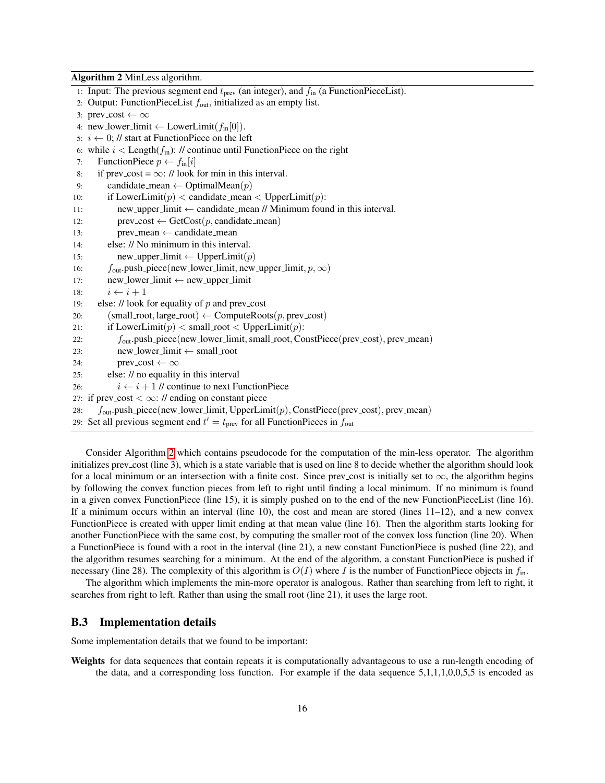<span id="page-15-1"></span>Algorithm 2 MinLess algorithm.

|     | 1: Input: The previous segment end $t_{prev}$ (an integer), and $f_{in}$ (a FunctionPieceList). |
|-----|-------------------------------------------------------------------------------------------------|
|     | 2: Output: FunctionPieceList $f_{\text{out}}$ , initialized as an empty list.                   |
|     | 3: prev_cost $\leftarrow \infty$                                                                |
|     | 4: new_lower_limit $\leftarrow$ LowerLimit( $f_{\text{in}}[0]$ ).                               |
|     | 5: $i \leftarrow 0$ ; // start at FunctionPiece on the left                                     |
|     | 6: while $i <$ Length $(f_{\text{in}})$ : // continue until Function Piece on the right         |
| 7:  | FunctionPiece $p \leftarrow f_{\text{in}}[i]$                                                   |
| 8:  | if prev_cost = $\infty$ : // look for min in this interval.                                     |
| 9:  | candidate_mean $\leftarrow$ OptimalMean(p)                                                      |
| 10: | if LowerLimit $(p)$ < candidate_mean < UpperLimit $(p)$ :                                       |
| 11: | new_upper_limit $\leftarrow$ candidate_mean // Minimum found in this interval.                  |
| 12: | $prev\_cost \leftarrow GetCost(p, candidate\_mean)$                                             |
| 13: | $prev_mean \leftarrow candidate_mean$                                                           |
| 14: | else: // No minimum in this interval.                                                           |
| 15: | new_upper_limit $\leftarrow$ UpperLimit $(p)$                                                   |
| 16: | $f_{\text{out}}$ push piece (new lower limit, new upper limit, $p, \infty$ )                    |
| 17: | new_lower_limit ← new_upper_limit                                                               |
| 18: | $i \leftarrow i + 1$                                                                            |
| 19: | else: // look for equality of $p$ and prev_cost                                                 |
| 20: | $(small\_root, large\_root) \leftarrow ComputeRoots(p, prev\_cost)$                             |
| 21: | if LowerLimit $(p)$ < small_root < UpperLimit $(p)$ :                                           |
| 22: | f <sub>out</sub> .push_piece(new_lower_limit, small_root, ConstPiece(prev_cost), prev_mean)     |
| 23: | $new_lower_limit \leftarrow small_{root}$                                                       |
| 24: | prev_cost $\leftarrow \infty$                                                                   |
| 25: | else: // no equality in this interval                                                           |
| 26: | $i \leftarrow i + 1$ // continue to next Function Piece                                         |
|     | 27: if prev_cost $< \infty$ : // ending on constant piece                                       |
| 28: | $f_{\text{out}}$ .push_piece(new_lower_limit, UpperLimit(p), ConstPiece(prev_cost), prev_mean)  |
|     | 29: Set all previous segment end $t' = t_{prev}$ for all FunctionPieces in $f_{out}$            |

Consider Algorithm [2](#page-15-1) which contains pseudocode for the computation of the min-less operator. The algorithm initializes prev cost (line 3), which is a state variable that is used on line 8 to decide whether the algorithm should look for a local minimum or an intersection with a finite cost. Since prev cost is initially set to  $\infty$ , the algorithm begins by following the convex function pieces from left to right until finding a local minimum. If no minimum is found in a given convex FunctionPiece (line 15), it is simply pushed on to the end of the new FunctionPieceList (line 16). If a minimum occurs within an interval (line 10), the cost and mean are stored (lines  $11-12$ ), and a new convex FunctionPiece is created with upper limit ending at that mean value (line 16). Then the algorithm starts looking for another FunctionPiece with the same cost, by computing the smaller root of the convex loss function (line 20). When a FunctionPiece is found with a root in the interval (line 21), a new constant FunctionPiece is pushed (line 22), and the algorithm resumes searching for a minimum. At the end of the algorithm, a constant FunctionPiece is pushed if necessary (line 28). The complexity of this algorithm is  $O(I)$  where I is the number of FunctionPiece objects in  $f_{\text{in}}$ .

The algorithm which implements the min-more operator is analogous. Rather than searching from left to right, it searches from right to left. Rather than using the small root (line 21), it uses the large root.

#### <span id="page-15-0"></span>B.3 Implementation details

Some implementation details that we found to be important:

Weights for data sequences that contain repeats it is computationally advantageous to use a run-length encoding of the data, and a corresponding loss function. For example if the data sequence 5,1,1,1,0,0,5,5 is encoded as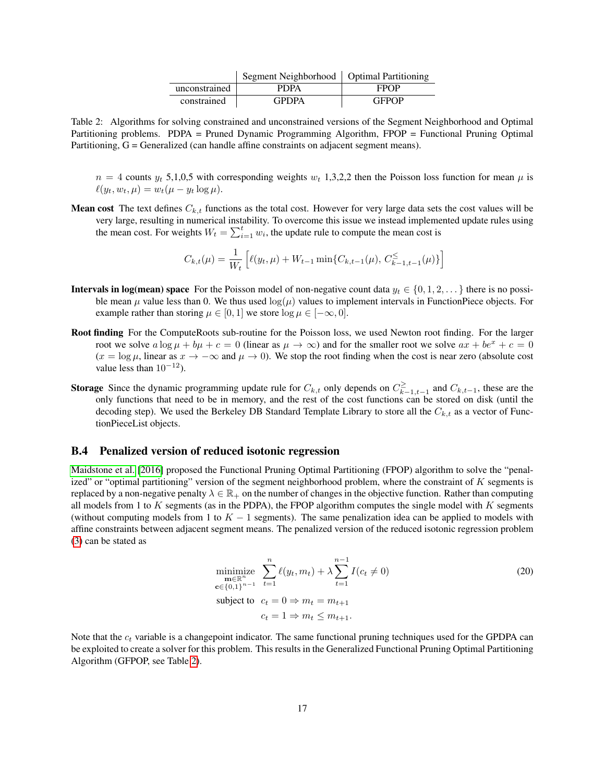|               | Segment Neighborhood   Optimal Partitioning |              |
|---------------|---------------------------------------------|--------------|
| unconstrained | <b>PDPA</b>                                 | <b>FPOP</b>  |
| constrained   | <b>GPDPA</b>                                | <b>GFPOP</b> |

<span id="page-16-1"></span>Table 2: Algorithms for solving constrained and unconstrained versions of the Segment Neighborhood and Optimal Partitioning problems. PDPA = Pruned Dynamic Programming Algorithm, FPOP = Functional Pruning Optimal Partitioning, G = Generalized (can handle affine constraints on adjacent segment means).

 $n = 4$  counts  $y_t$  5,1,0,5 with corresponding weights  $w_t$  1,3,2,2 then the Poisson loss function for mean  $\mu$  is  $\ell(y_t, w_t, \mu) = w_t(\mu - y_t \log \mu).$ 

**Mean cost** The text defines  $C_{k,t}$  functions as the total cost. However for very large data sets the cost values will be very large, resulting in numerical instability. To overcome this issue we instead implemented update rules using the mean cost. For weights  $W_t = \sum_{i=1}^t w_i$ , the update rule to compute the mean cost is

$$
C_{k,t}(\mu) = \frac{1}{W_t} \left[ \ell(y_t, \mu) + W_{t-1} \min \{ C_{k,t-1}(\mu), C_{k-1,t-1}^{\leq}(\mu) \} \right]
$$

- **Intervals in log(mean) space** For the Poisson model of non-negative count data  $y_t \in \{0, 1, 2, \dots\}$  there is no possible mean  $\mu$  value less than 0. We thus used  $\log(\mu)$  values to implement intervals in FunctionPiece objects. For example rather than storing  $\mu \in [0, 1]$  we store  $\log \mu \in [-\infty, 0]$ .
- Root finding For the ComputeRoots sub-routine for the Poisson loss, we used Newton root finding. For the larger root we solve  $a \log \mu + b\mu + c = 0$  (linear as  $\mu \to \infty$ ) and for the smaller root we solve  $ax + be^x + c = 0$  $(x = \log \mu)$ , linear as  $x \to -\infty$  and  $\mu \to 0$ ). We stop the root finding when the cost is near zero (absolute cost value less than  $10^{-12}$ ).
- **Storage** Since the dynamic programming update rule for  $C_{k,t}$  only depends on  $C_{k-1,t-1}^{\geq}$  and  $C_{k,t-1}$ , these are the only functions that need to be in memory, and the rest of the cost functions can be stored on disk (until the decoding step). We used the Berkeley DB Standard Template Library to store all the  $C_{k,t}$  as a vector of FunctionPieceList objects.

#### <span id="page-16-0"></span>B.4 Penalized version of reduced isotonic regression

[Maidstone et al.](#page-21-1) [\[2016\]](#page-21-1) proposed the Functional Pruning Optimal Partitioning (FPOP) algorithm to solve the "penalized" or "optimal partitioning" version of the segment neighborhood problem, where the constraint of K segments is replaced by a non-negative penalty  $\lambda \in \mathbb{R}_+$  on the number of changes in the objective function. Rather than computing all models from 1 to  $K$  segments (as in the PDPA), the FPOP algorithm computes the single model with  $K$  segments (without computing models from 1 to  $K - 1$  segments). The same penalization idea can be applied to models with affine constraints between adjacent segment means. The penalized version of the reduced isotonic regression problem [\(3\)](#page-4-5) can be stated as

<span id="page-16-2"></span>
$$
\underset{\substack{\mathbf{c}\in\{0,1\}^{n-1}\\ \text{subject to} \quad c_t=0\ \Rightarrow \ m_t=m_{t+1}}}{\sum_{t=1}^{n}\ell(y_t, m_t) + \lambda \sum_{t=1}^{n-1} I(c_t \neq 0)}\tag{20}
$$
\n
$$
\text{subject to} \quad c_t=0 \Rightarrow m_t=m_{t+1}
$$
\n
$$
c_t=1 \Rightarrow m_t \le m_{t+1}.
$$

Note that the  $c_t$  variable is a changepoint indicator. The same functional pruning techniques used for the GPDPA can be exploited to create a solver for this problem. This results in the Generalized Functional Pruning Optimal Partitioning Algorithm (GFPOP, see Table [2\)](#page-16-1).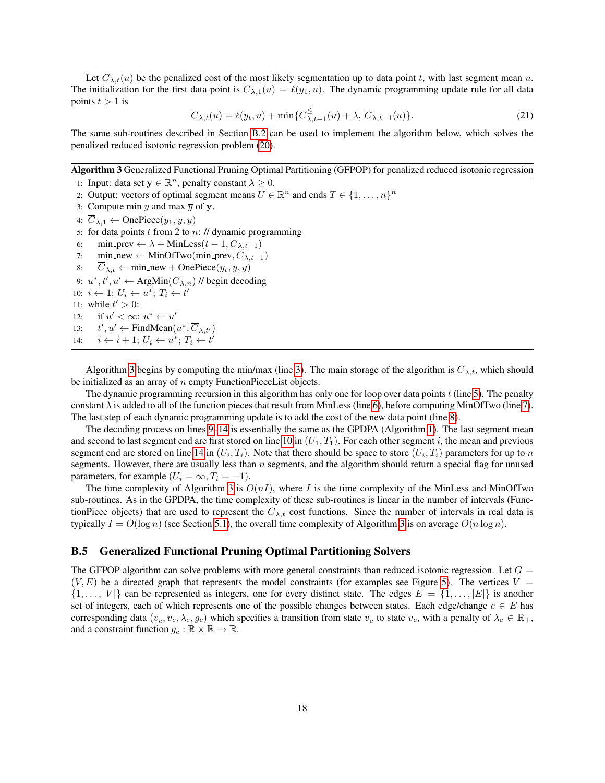Let  $\overline{C}_{\lambda,t}(u)$  be the penalized cost of the most likely segmentation up to data point t, with last segment mean u. The initialization for the first data point is  $\overline{C}_{\lambda,1}(u) = \ell(y_1, u)$ . The dynamic programming update rule for all data points  $t > 1$  is

<span id="page-17-9"></span><span id="page-17-6"></span><span id="page-17-5"></span><span id="page-17-3"></span><span id="page-17-2"></span>
$$
\overline{C}_{\lambda,t}(u) = \ell(y_t, u) + \min \{ \overline{C}_{\lambda,t-1}^{\leq}(u) + \lambda, \overline{C}_{\lambda,t-1}(u) \}. \tag{21}
$$

The same sub-routines described in Section [B.2](#page-14-0) can be used to implement the algorithm below, which solves the penalized reduced isotonic regression problem [\(20\)](#page-16-2).

<span id="page-17-1"></span>Algorithm 3 Generalized Functional Pruning Optimal Partitioning (GFPOP) for penalized reduced isotonic regression

- 1: Input: data set  $y \in \mathbb{R}^n$ , penalty constant  $\lambda \geq 0$ .
- 2: Output: vectors of optimal segment means  $U \in \mathbb{R}^n$  and ends  $T \in \{1, \ldots, n\}^n$
- 3: Compute min  $y$  and max  $\overline{y}$  of  $\mathbf{y}$ .
- 4:  $\overline{C}_{\lambda,1} \leftarrow$  OnePiece $(y_1, y, \overline{y})$
- 5: for data points  $t$  from 2 to  $n$ : // dynamic programming
- <span id="page-17-4"></span>6: min\_prev ←  $\lambda$  + MinLess $(t - 1, \overline{C}_{\lambda,t-1})$

7: min\_new ← MinOfTwo(min\_prev,  $\overline{C}_{\lambda,t-1}$ ) 8:  $\overline{C}_{\lambda,t} \leftarrow \min_{\lambda} \text{new} + \text{OnePiece}(y_t, y, \overline{y})$ 

<span id="page-17-7"></span>9:  $u^*, t', u' \leftarrow \text{ArgMin}(\overline{C}_{\lambda,n})$  // begin decoding

- 10:  $i \leftarrow 1; U_i \leftarrow u^*; T_i \leftarrow t'$
- 11: while  $t' > 0$ :
- <span id="page-17-8"></span>12: if  $u' < \infty$ :  $u^* \leftarrow u'$  $13:$  $v', u' \leftarrow \text{FindMean}(u^*, \overline{C}_{\lambda, t'})$
- 14:  $i \leftarrow i+1; U_i \leftarrow u^*; T_i \leftarrow t'$

Algorithm [3](#page-17-1) begins by computing the min/max (line [3\)](#page-17-2). The main storage of the algorithm is  $\overline{C}_{\lambda,t}$ , which should be initialized as an array of  $n$  empty FunctionPieceList objects.

The dynamic programming recursion in this algorithm has only one for loop over data points  $t$  (line [5\)](#page-17-3). The penalty constant  $\lambda$  is added to all of the function pieces that result from MinLess (line [6\)](#page-17-4), before computing MinOfTwo (line [7\)](#page-17-5). The last step of each dynamic programming update is to add the cost of the new data point (line [8\)](#page-17-6).

The decoding process on lines [9](#page-17-7)[–14](#page-17-8) is essentially the same as the GPDPA (Algorithm [1\)](#page-13-1). The last segment mean and second to last segment end are first stored on line [10](#page-17-9) in  $(U_1, T_1)$ . For each other segment i, the mean and previous segment end are stored on line [14](#page-17-8) in  $(U_i, T_i)$ . Note that there should be space to store  $(U_i, T_i)$  parameters for up to n segments. However, there are usually less than  $n$  segments, and the algorithm should return a special flag for unused parameters, for example  $(U_i = \infty, T_i = -1)$ .

The time complexity of Algorithm [3](#page-17-1) is  $O(nI)$ , where I is the time complexity of the MinLess and MinOfTwo sub-routines. As in the GPDPA, the time complexity of these sub-routines is linear in the number of intervals (FunctionPiece objects) that are used to represent the  $\overline{C}_{\lambda,t}$  cost functions. Since the number of intervals in real data is typically  $I = O(\log n)$  (see Section [5.1\)](#page-9-0), the overall time complexity of Algorithm [3](#page-17-1) is on average  $O(n \log n)$ .

#### <span id="page-17-0"></span>B.5 Generalized Functional Pruning Optimal Partitioning Solvers

The GFPOP algorithm can solve problems with more general constraints than reduced isotonic regression. Let  $G =$  $(V, E)$  be a directed graph that represents the model constraints (for examples see Figure [5\)](#page-18-0). The vertices  $V =$  $\{1, \ldots, |V|\}$  can be represented as integers, one for every distinct state. The edges  $E = \{1, \ldots, |E|\}$  is another set of integers, each of which represents one of the possible changes between states. Each edge/change  $c \in E$  has corresponding data  $(\underline{v}_c, \overline{v}_c, \lambda_c, g_c)$  which specifies a transition from state  $\underline{v}_c$  to state  $\overline{v}_c$ , with a penalty of  $\lambda_c \in \mathbb{R}_+$ , and a constraint function  $g_c : \mathbb{R} \times \mathbb{R} \to \mathbb{R}$ .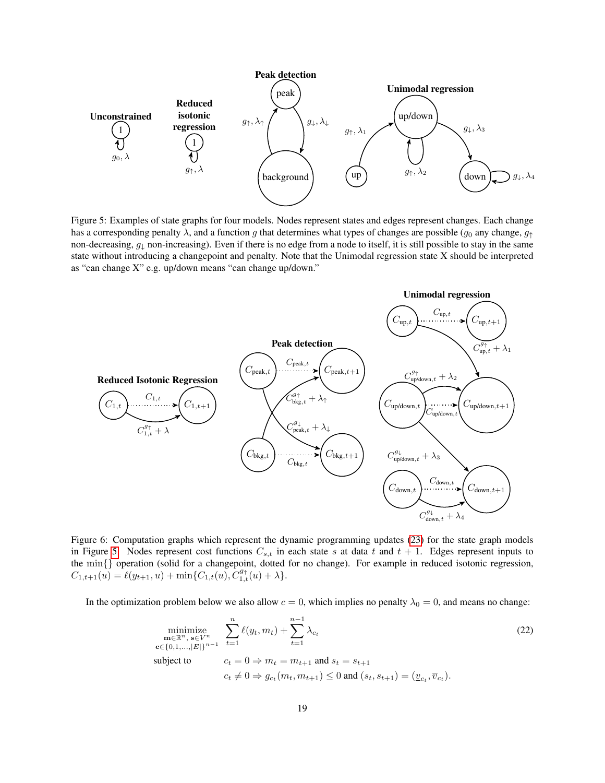

<span id="page-18-0"></span>Figure 5: Examples of state graphs for four models. Nodes represent states and edges represent changes. Each change has a corresponding penalty  $\lambda$ , and a function g that determines what types of changes are possible (g<sub>0</sub> any change, g<sub>↑</sub> non-decreasing,  $g_{\downarrow}$  non-increasing). Even if there is no edge from a node to itself, it is still possible to stay in the same state without introducing a changepoint and penalty. Note that the Unimodal regression state X should be interpreted as "can change X" e.g. up/down means "can change up/down."



<span id="page-18-1"></span>Figure 6: Computation graphs which represent the dynamic programming updates [\(23\)](#page-19-0) for the state graph models in Figure [5.](#page-18-0) Nodes represent cost functions  $C_{s,t}$  in each state s at data t and  $t + 1$ . Edges represent inputs to the min{} operation (solid for a changepoint, dotted for no change). For example in reduced isotonic regression,  $C_{1,t+1}(u) = \ell(y_{t+1}, u) + \min\{C_{1,t}(u), C_{1,t}^{g^+}(u) + \lambda\}.$ 

In the optimization problem below we also allow  $c = 0$ , which implies no penalty  $\lambda_0 = 0$ , and means no change:

$$
\underset{\substack{\mathbf{c} \in \{0, 1, \dots, |E|\}^{n-1} \\ e \in \{0, 1, \dots, |E|\}^{n-1}}}{\text{minimize}} \sum_{t=1}^{n} \ell(y_t, m_t) + \sum_{t=1}^{n-1} \lambda_{c_t}
$$
\n
$$
\text{subject to} \qquad c_t = 0 \Rightarrow m_t = m_{t+1} \text{ and } s_t = s_{t+1}
$$
\n
$$
c_t \neq 0 \Rightarrow g_{c_t}(m_t, m_{t+1}) \leq 0 \text{ and } (s_t, s_{t+1}) = (\underline{v}_{c_t}, \overline{v}_{c_t}).
$$
\n
$$
(22)
$$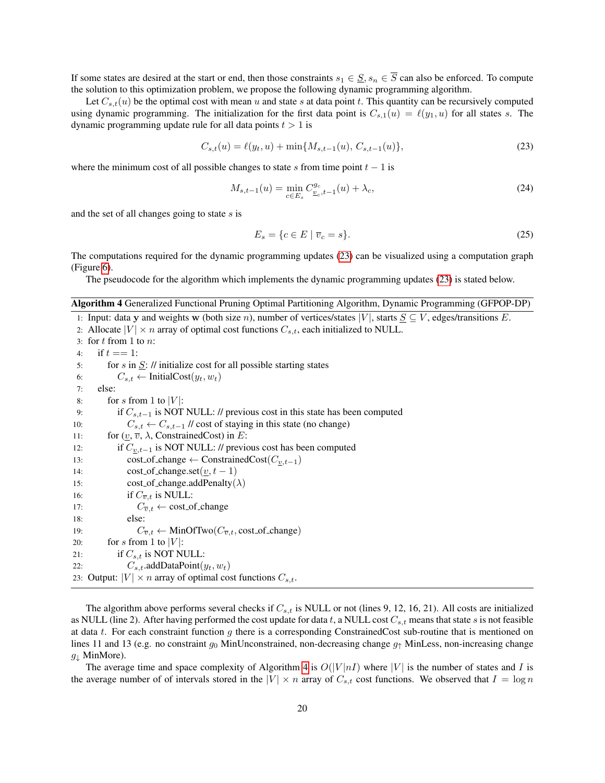If some states are desired at the start or end, then those constraints  $s_1 \in S$ ,  $s_n \in \overline{S}$  can also be enforced. To compute the solution to this optimization problem, we propose the following dynamic programming algorithm.

Let  $C_{s,t}(u)$  be the optimal cost with mean u and state s at data point t. This quantity can be recursively computed using dynamic programming. The initialization for the first data point is  $C_{s,1}(u) = \ell(y_1, u)$  for all states s. The dynamic programming update rule for all data points  $t > 1$  is

$$
C_{s,t}(u) = \ell(y_t, u) + \min\{M_{s,t-1}(u), C_{s,t-1}(u)\},\tag{23}
$$

where the minimum cost of all possible changes to state s from time point  $t - 1$  is

<span id="page-19-0"></span>
$$
M_{s,t-1}(u) = \min_{c \in E_s} C_{\underline{v}_c, t-1}^{g_c}(u) + \lambda_c,
$$
\n(24)

and the set of all changes going to state s is

$$
E_s = \{c \in E \mid \overline{v}_c = s\}.
$$
\n
$$
(25)
$$

The computations required for the dynamic programming updates [\(23\)](#page-19-0) can be visualized using a computation graph (Figure [6\)](#page-18-1).

The pseudocode for the algorithm which implements the dynamic programming updates [\(23\)](#page-19-0) is stated below.

<span id="page-19-1"></span>

|  | Algorithm 4 Generalized Functional Pruning Optimal Partitioning Algorithm, Dynamic Programming (GFPOP-DP) |  |  |  |  |  |
|--|-----------------------------------------------------------------------------------------------------------|--|--|--|--|--|
|  |                                                                                                           |  |  |  |  |  |

1: Input: data y and weights w (both size n), number of vertices/states  $|V|$ , starts  $S \subseteq V$ , edges/transitions E. 2: Allocate  $|V| \times n$  array of optimal cost functions  $C_{s,t}$ , each initialized to NULL. 3: for  $t$  from 1 to  $n$ : 4: if  $t = 1$ : 5: for s in  $S$ : // initialize cost for all possible starting states 6:  $C_{s,t} \leftarrow \text{InitialCost}(y_t, w_t)$ 7: else: 8: for s from 1 to  $|V|$ : 9: if  $C_{s,t-1}$  is NOT NULL: // previous cost in this state has been computed 10:  $C_{s,t} \leftarrow C_{s,t-1}$  // cost of staying in this state (no change) 11: for  $(v, \overline{v}, \lambda,$  ConstrainedCost) in E: 12: if  $C_{v,t-1}$  is NOT NULL: // previous cost has been computed 13: cost\_of\_change ← ConstrainedCost $(C_{v,t-1})$ 14: cost\_of\_change.set $(v, t - 1)$ 15: cost\_of\_change.addPenalty( $\lambda$ ) 16: if  $C_{\overline{v},t}$  is NULL: 17:  $C_{\overline{v},t} \leftarrow \text{cost_of-change}$ 18: else: 19:  $C_{\overline{v},t} \leftarrow \text{MinOfTwo}(C_{\overline{v},t}, \text{cost_of-change})$ 20: for s from 1 to  $|V|$ : 21: if  $C_{s,t}$  is NOT NULL: 22:  $C_{s,t}$ .addDataPoint $(y_t, w_t)$ 23: Output:  $|V| \times n$  array of optimal cost functions  $C_{s,t}$ .

The algorithm above performs several checks if  $C_{s,t}$  is NULL or not (lines 9, 12, 16, 21). All costs are initialized as NULL (line 2). After having performed the cost update for data t, a NULL cost  $C_{s,t}$  means that state s is not feasible at data  $t$ . For each constraint function  $g$  there is a corresponding ConstrainedCost sub-routine that is mentioned on lines 11 and 13 (e.g. no constraint  $g_0$  MinUnconstrained, non-decreasing change  $g_1$  MinLess, non-increasing change  $g_{\perp}$  MinMore).

The average time and space complexity of Algorithm [4](#page-19-1) is  $O(|V|nI)$  where |V| is the number of states and I is the average number of of intervals stored in the  $|V| \times n$  array of  $C_{s,t}$  cost functions. We observed that  $I = \log n$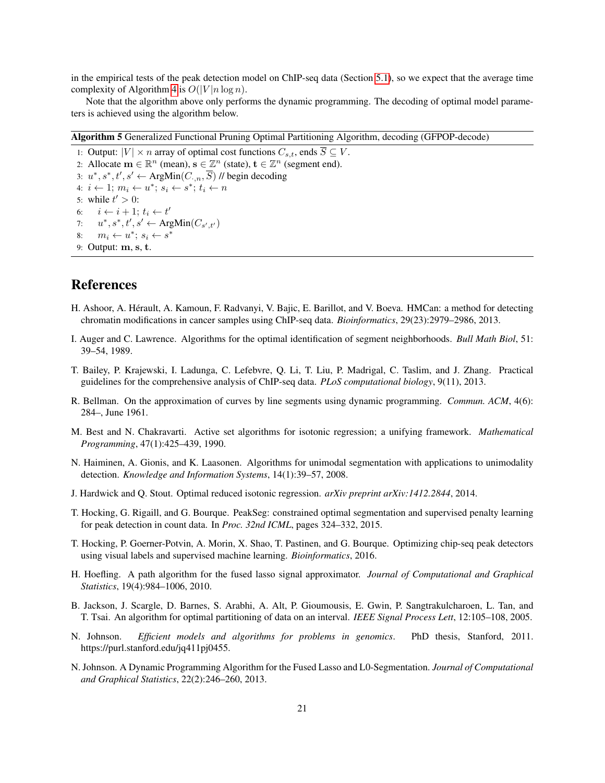in the empirical tests of the peak detection model on ChIP-seq data (Section [5.1\)](#page-9-0), so we expect that the average time complexity of Algorithm [4](#page-19-1) is  $O(|V|n \log n)$ .

Note that the algorithm above only performs the dynamic programming. The decoding of optimal model parameters is achieved using the algorithm below.

#### Algorithm 5 Generalized Functional Pruning Optimal Partitioning Algorithm, decoding (GFPOP-decode)

1: Output:  $|V| \times n$  array of optimal cost functions  $C_{s,t}$ , ends  $\overline{S} \subseteq V$ . 2: Allocate  $\mathbf{m} \in \mathbb{R}^n$  (mean),  $\mathbf{s} \in \mathbb{Z}^n$  (state),  $\mathbf{t} \in \mathbb{Z}^n$  (segment end). 3:  $u^*, s^*, t', s' \leftarrow \text{ArgMin}(C_{\cdot,n}, \overline{S})$  // begin decoding 4:  $i \leftarrow 1; m_i \leftarrow u^*; s_i \leftarrow s^*; t_i \leftarrow n$ 5: while  $t' > 0$ : 6:  $i \leftarrow i + 1; t_i \leftarrow t'$ 7:  $u^*, s^*, t', s' \leftarrow \text{ArgMin}(C_{s',t'})$ 8:  $m_i \leftarrow u^*$ ;  $s_i \leftarrow s^*$ 9: Output: m, s, t.

# References

- <span id="page-20-12"></span>H. Ashoor, A. Herault, A. Kamoun, F. Radvanyi, V. Bajic, E. Barillot, and V. Boeva. HMCan: a method for detecting ´ chromatin modifications in cancer samples using ChIP-seq data. *Bioinformatics*, 29(23):2979–2986, 2013.
- <span id="page-20-0"></span>I. Auger and C. Lawrence. Algorithms for the optimal identification of segment neighborhoods. *Bull Math Biol*, 51: 39–54, 1989.
- <span id="page-20-2"></span>T. Bailey, P. Krajewski, I. Ladunga, C. Lefebvre, Q. Li, T. Liu, P. Madrigal, C. Taslim, and J. Zhang. Practical guidelines for the comprehensive analysis of ChIP-seq data. *PLoS computational biology*, 9(11), 2013.
- <span id="page-20-5"></span>R. Bellman. On the approximation of curves by line segments using dynamic programming. *Commun. ACM*, 4(6): 284–, June 1961.
- <span id="page-20-10"></span>M. Best and N. Chakravarti. Active set algorithms for isotonic regression; a unifying framework. *Mathematical Programming*, 47(1):425–439, 1990.
- <span id="page-20-8"></span>N. Haiminen, A. Gionis, and K. Laasonen. Algorithms for unimodal segmentation with applications to unimodality detection. *Knowledge and Information Systems*, 14(1):39–57, 2008.
- <span id="page-20-9"></span>J. Hardwick and Q. Stout. Optimal reduced isotonic regression. *arXiv preprint arXiv:1412.2844*, 2014.
- <span id="page-20-3"></span>T. Hocking, G. Rigaill, and G. Bourque. PeakSeg: constrained optimal segmentation and supervised penalty learning for peak detection in count data. In *Proc. 32nd ICML*, pages 324–332, 2015.
- <span id="page-20-11"></span>T. Hocking, P. Goerner-Potvin, A. Morin, X. Shao, T. Pastinen, and G. Bourque. Optimizing chip-seq peak detectors using visual labels and supervised machine learning. *Bioinformatics*, 2016.
- <span id="page-20-6"></span>H. Hoefling. A path algorithm for the fused lasso signal approximator. *Journal of Computational and Graphical Statistics*, 19(4):984–1006, 2010.
- <span id="page-20-4"></span>B. Jackson, J. Scargle, D. Barnes, S. Arabhi, A. Alt, P. Gioumousis, E. Gwin, P. Sangtrakulcharoen, L. Tan, and T. Tsai. An algorithm for optimal partitioning of data on an interval. *IEEE Signal Process Lett*, 12:105–108, 2005.
- <span id="page-20-7"></span>N. Johnson. *Efficient models and algorithms for problems in genomics*. PhD thesis, Stanford, 2011. https://purl.stanford.edu/jq411pj0455.
- <span id="page-20-1"></span>N. Johnson. A Dynamic Programming Algorithm for the Fused Lasso and L0-Segmentation. *Journal of Computational and Graphical Statistics*, 22(2):246–260, 2013.